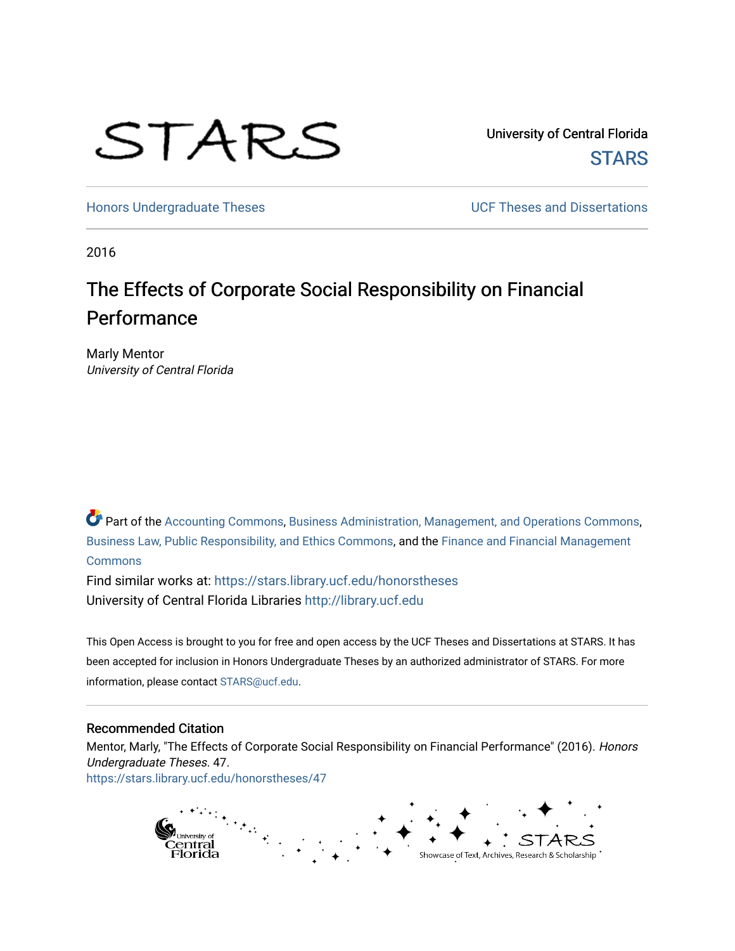# STARS

University of Central Florida **STARS** 

[Honors Undergraduate Theses](https://stars.library.ucf.edu/honorstheses) **Exercise 2018** UCF Theses and Dissertations

2016

# The Effects of Corporate Social Responsibility on Financial Performance

Marly Mentor University of Central Florida

Part of the [Accounting Commons](http://network.bepress.com/hgg/discipline/625?utm_source=stars.library.ucf.edu%2Fhonorstheses%2F47&utm_medium=PDF&utm_campaign=PDFCoverPages), [Business Administration, Management, and Operations Commons,](http://network.bepress.com/hgg/discipline/623?utm_source=stars.library.ucf.edu%2Fhonorstheses%2F47&utm_medium=PDF&utm_campaign=PDFCoverPages) [Business Law, Public Responsibility, and Ethics Commons,](http://network.bepress.com/hgg/discipline/628?utm_source=stars.library.ucf.edu%2Fhonorstheses%2F47&utm_medium=PDF&utm_campaign=PDFCoverPages) and the [Finance and Financial Management](http://network.bepress.com/hgg/discipline/631?utm_source=stars.library.ucf.edu%2Fhonorstheses%2F47&utm_medium=PDF&utm_campaign=PDFCoverPages)  **[Commons](http://network.bepress.com/hgg/discipline/631?utm_source=stars.library.ucf.edu%2Fhonorstheses%2F47&utm_medium=PDF&utm_campaign=PDFCoverPages)** 

Find similar works at: <https://stars.library.ucf.edu/honorstheses> University of Central Florida Libraries [http://library.ucf.edu](http://library.ucf.edu/) 

This Open Access is brought to you for free and open access by the UCF Theses and Dissertations at STARS. It has been accepted for inclusion in Honors Undergraduate Theses by an authorized administrator of STARS. For more information, please contact [STARS@ucf.edu.](mailto:STARS@ucf.edu)

#### Recommended Citation

Mentor, Marly, "The Effects of Corporate Social Responsibility on Financial Performance" (2016). Honors Undergraduate Theses. 47. [https://stars.library.ucf.edu/honorstheses/47](https://stars.library.ucf.edu/honorstheses/47?utm_source=stars.library.ucf.edu%2Fhonorstheses%2F47&utm_medium=PDF&utm_campaign=PDFCoverPages)

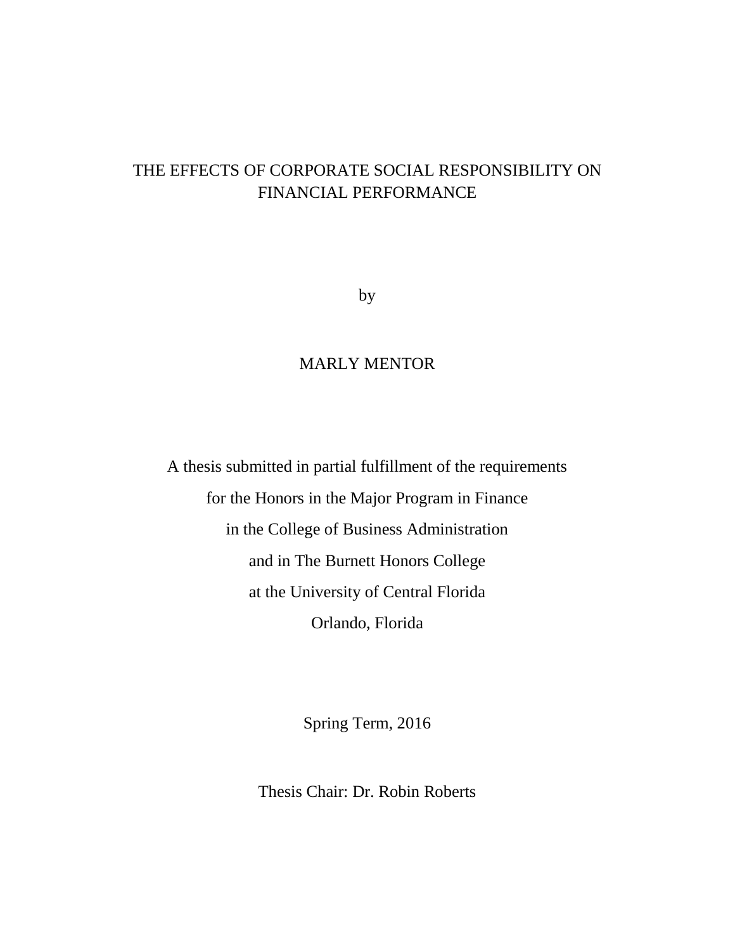# THE EFFECTS OF CORPORATE SOCIAL RESPONSIBILITY ON FINANCIAL PERFORMANCE

by

## MARLY MENTOR

A thesis submitted in partial fulfillment of the requirements for the Honors in the Major Program in Finance in the College of Business Administration and in The Burnett Honors College at the University of Central Florida Orlando, Florida

Spring Term, 2016

Thesis Chair: Dr. Robin Roberts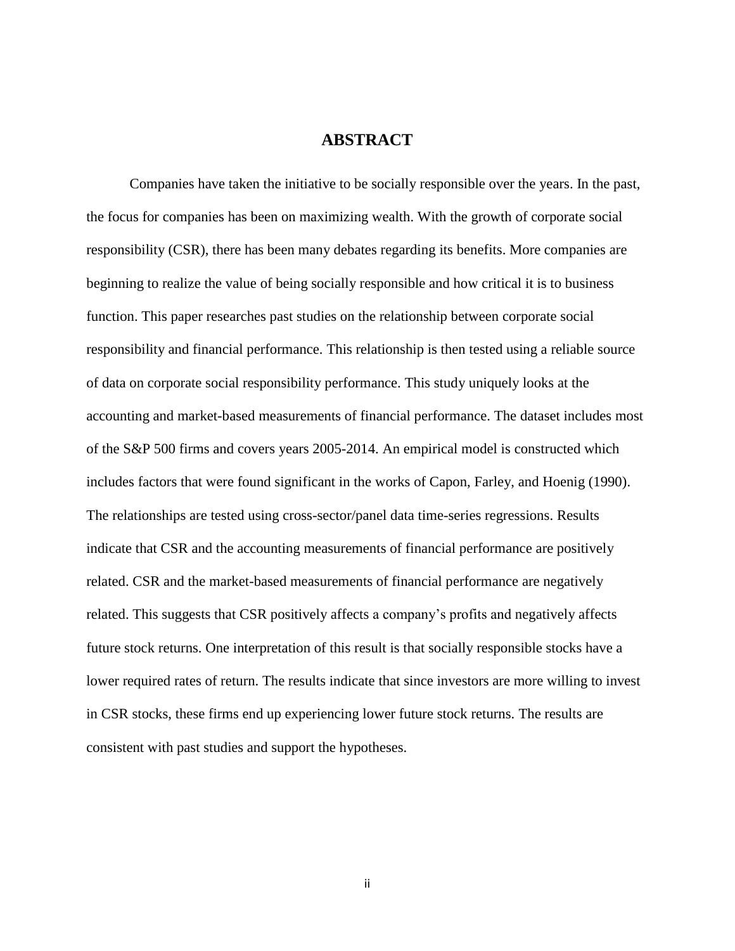## **ABSTRACT**

Companies have taken the initiative to be socially responsible over the years. In the past, the focus for companies has been on maximizing wealth. With the growth of corporate social responsibility (CSR), there has been many debates regarding its benefits. More companies are beginning to realize the value of being socially responsible and how critical it is to business function. This paper researches past studies on the relationship between corporate social responsibility and financial performance. This relationship is then tested using a reliable source of data on corporate social responsibility performance. This study uniquely looks at the accounting and market-based measurements of financial performance. The dataset includes most of the S&P 500 firms and covers years 2005-2014. An empirical model is constructed which includes factors that were found significant in the works of Capon, Farley, and Hoenig (1990). The relationships are tested using cross-sector/panel data time-series regressions. Results indicate that CSR and the accounting measurements of financial performance are positively related. CSR and the market-based measurements of financial performance are negatively related. This suggests that CSR positively affects a company's profits and negatively affects future stock returns. One interpretation of this result is that socially responsible stocks have a lower required rates of return. The results indicate that since investors are more willing to invest in CSR stocks, these firms end up experiencing lower future stock returns. The results are consistent with past studies and support the hypotheses.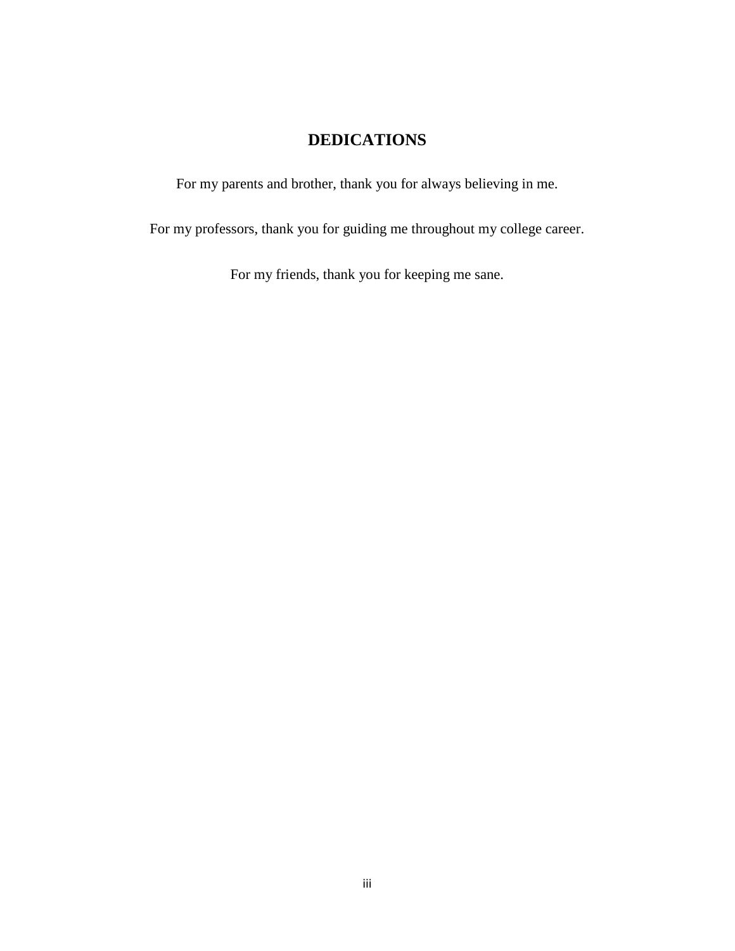## **DEDICATIONS**

For my parents and brother, thank you for always believing in me.

For my professors, thank you for guiding me throughout my college career.

For my friends, thank you for keeping me sane.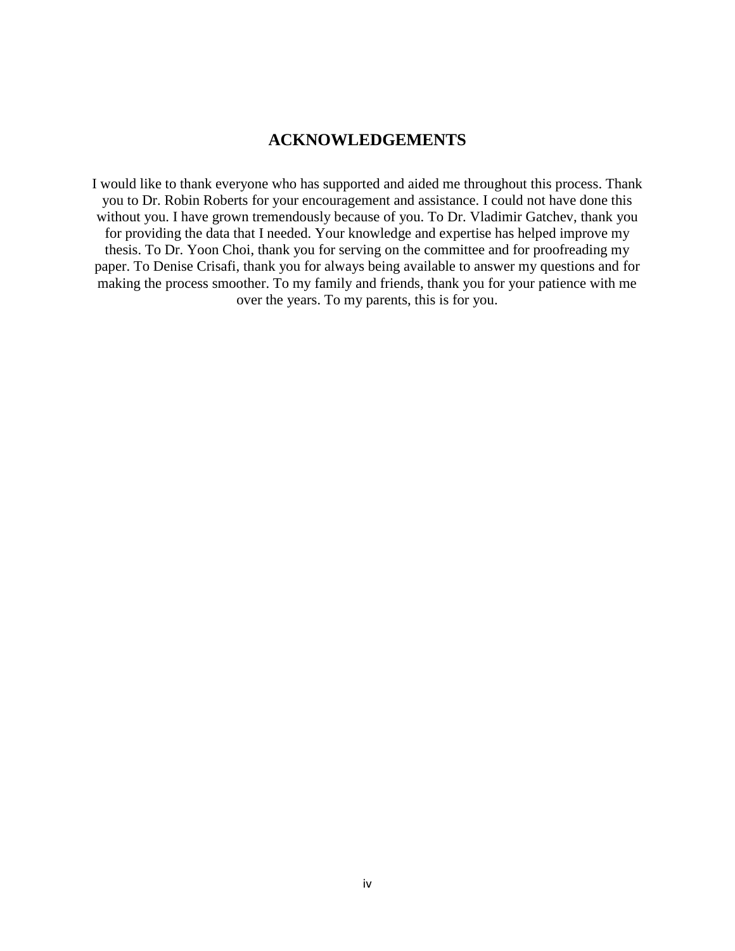## **ACKNOWLEDGEMENTS**

I would like to thank everyone who has supported and aided me throughout this process. Thank you to Dr. Robin Roberts for your encouragement and assistance. I could not have done this without you. I have grown tremendously because of you. To Dr. Vladimir Gatchev, thank you for providing the data that I needed. Your knowledge and expertise has helped improve my thesis. To Dr. Yoon Choi, thank you for serving on the committee and for proofreading my paper. To Denise Crisafi, thank you for always being available to answer my questions and for making the process smoother. To my family and friends, thank you for your patience with me over the years. To my parents, this is for you.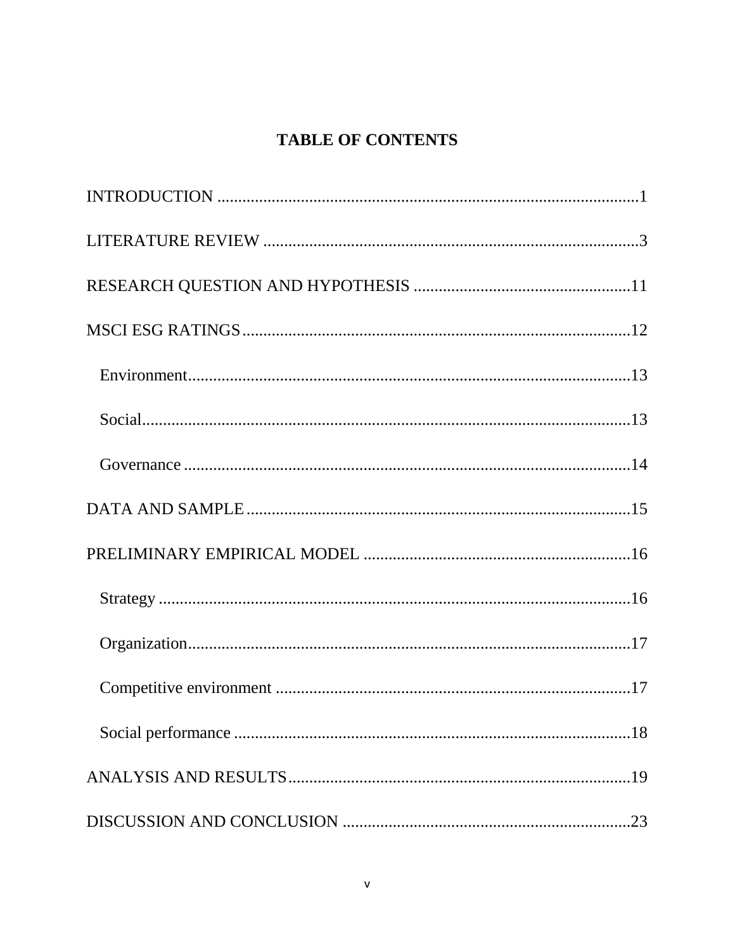# **TABLE OF CONTENTS**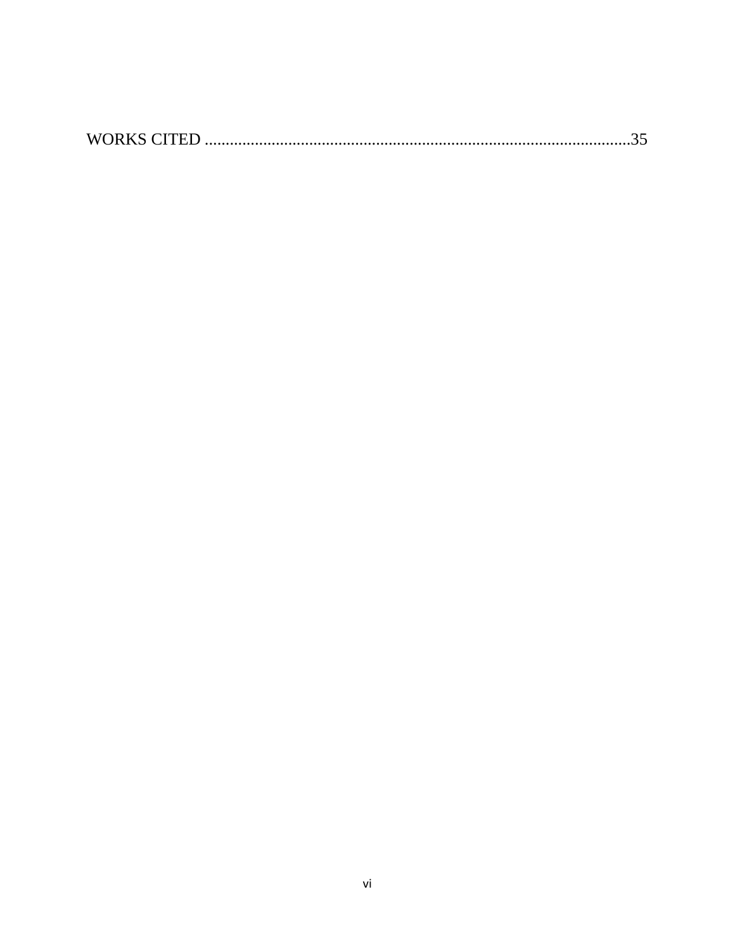|--|--|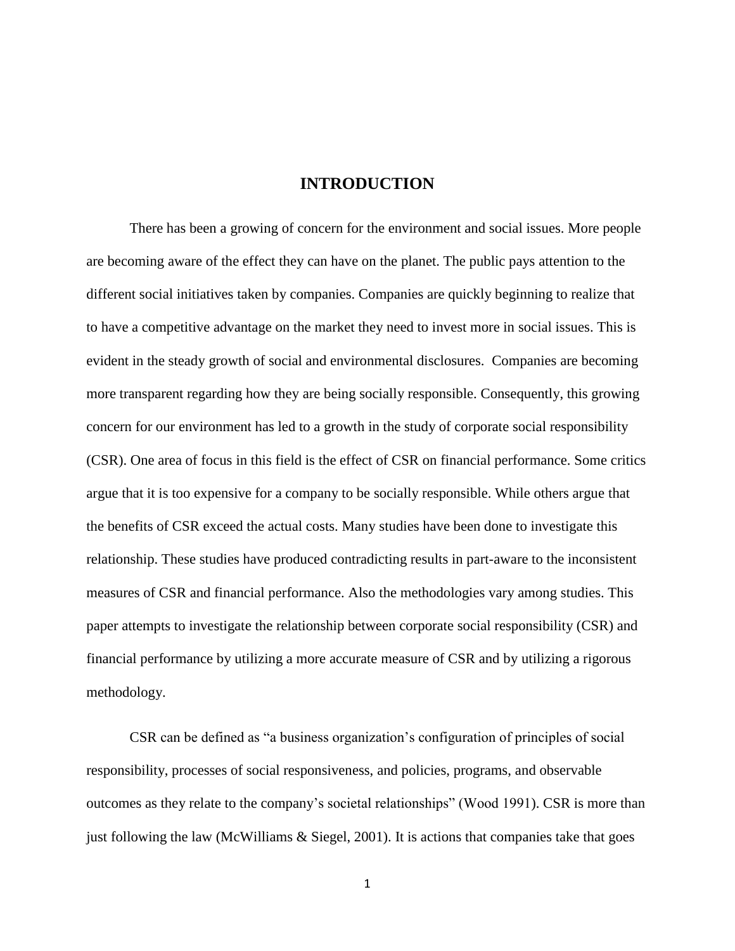#### **INTRODUCTION**

<span id="page-7-0"></span>There has been a growing of concern for the environment and social issues. More people are becoming aware of the effect they can have on the planet. The public pays attention to the different social initiatives taken by companies. Companies are quickly beginning to realize that to have a competitive advantage on the market they need to invest more in social issues. This is evident in the steady growth of social and environmental disclosures. Companies are becoming more transparent regarding how they are being socially responsible. Consequently, this growing concern for our environment has led to a growth in the study of corporate social responsibility (CSR). One area of focus in this field is the effect of CSR on financial performance. Some critics argue that it is too expensive for a company to be socially responsible. While others argue that the benefits of CSR exceed the actual costs. Many studies have been done to investigate this relationship. These studies have produced contradicting results in part-aware to the inconsistent measures of CSR and financial performance. Also the methodologies vary among studies. This paper attempts to investigate the relationship between corporate social responsibility (CSR) and financial performance by utilizing a more accurate measure of CSR and by utilizing a rigorous methodology.

CSR can be defined as "a business organization's configuration of principles of social responsibility, processes of social responsiveness, and policies, programs, and observable outcomes as they relate to the company's societal relationships" (Wood 1991). CSR is more than just following the law (McWilliams & Siegel, 2001). It is actions that companies take that goes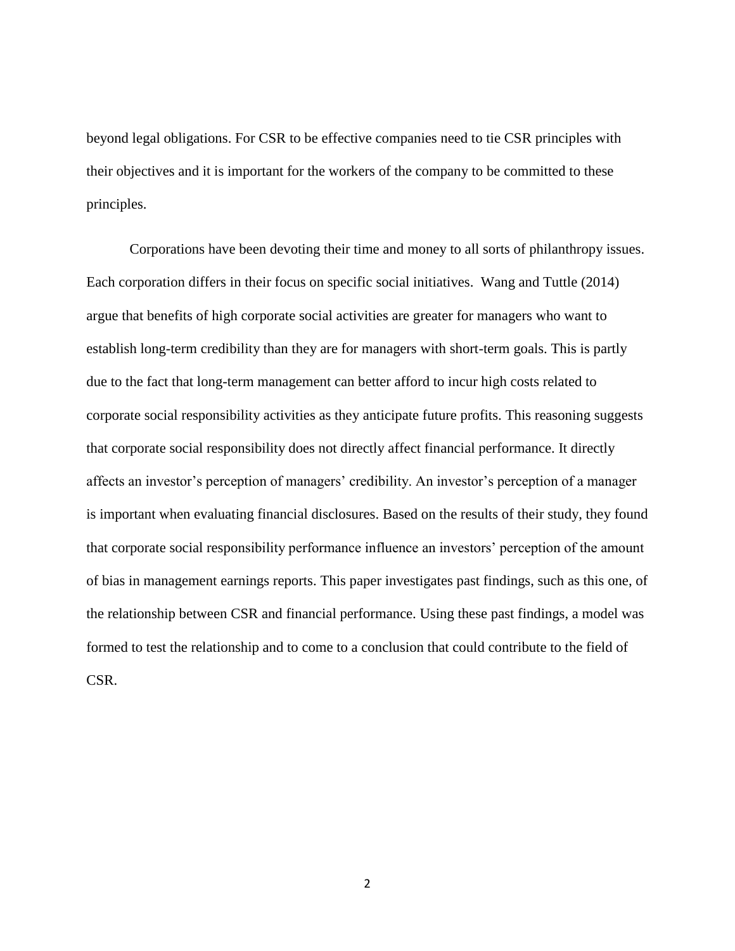beyond legal obligations. For CSR to be effective companies need to tie CSR principles with their objectives and it is important for the workers of the company to be committed to these principles.

Corporations have been devoting their time and money to all sorts of philanthropy issues. Each corporation differs in their focus on specific social initiatives. Wang and Tuttle (2014) argue that benefits of high corporate social activities are greater for managers who want to establish long-term credibility than they are for managers with short-term goals. This is partly due to the fact that long-term management can better afford to incur high costs related to corporate social responsibility activities as they anticipate future profits. This reasoning suggests that corporate social responsibility does not directly affect financial performance. It directly affects an investor's perception of managers' credibility. An investor's perception of a manager is important when evaluating financial disclosures. Based on the results of their study, they found that corporate social responsibility performance influence an investors' perception of the amount of bias in management earnings reports. This paper investigates past findings, such as this one, of the relationship between CSR and financial performance. Using these past findings, a model was formed to test the relationship and to come to a conclusion that could contribute to the field of CSR.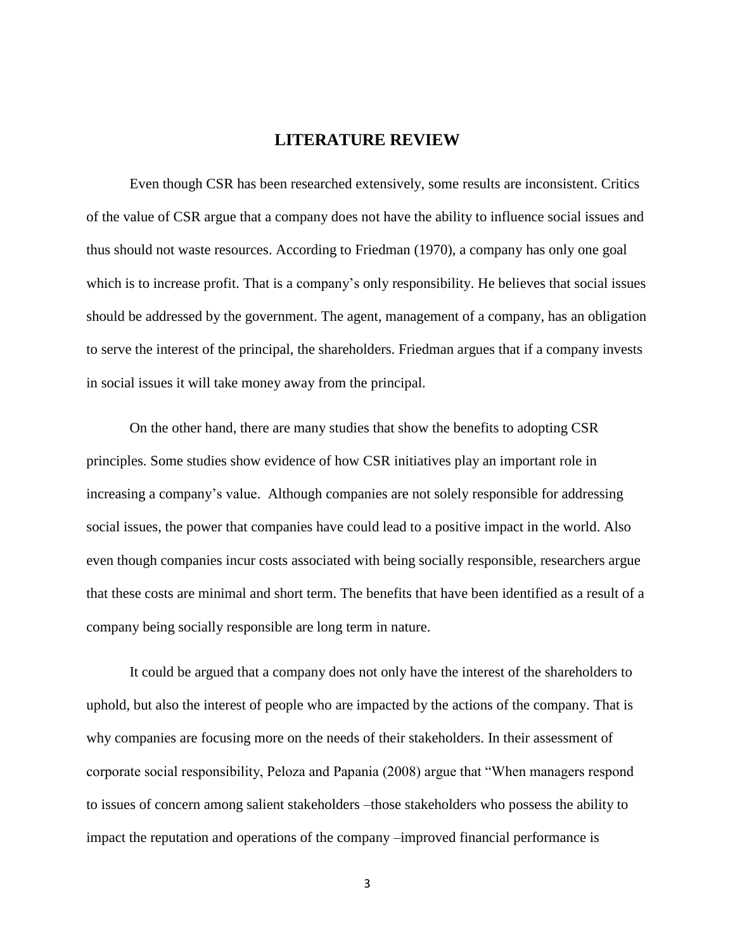## **LITERATURE REVIEW**

<span id="page-9-0"></span>Even though CSR has been researched extensively, some results are inconsistent. Critics of the value of CSR argue that a company does not have the ability to influence social issues and thus should not waste resources. According to Friedman (1970), a company has only one goal which is to increase profit. That is a company's only responsibility. He believes that social issues should be addressed by the government. The agent, management of a company, has an obligation to serve the interest of the principal, the shareholders. Friedman argues that if a company invests in social issues it will take money away from the principal.

On the other hand, there are many studies that show the benefits to adopting CSR principles. Some studies show evidence of how CSR initiatives play an important role in increasing a company's value. Although companies are not solely responsible for addressing social issues, the power that companies have could lead to a positive impact in the world. Also even though companies incur costs associated with being socially responsible, researchers argue that these costs are minimal and short term. The benefits that have been identified as a result of a company being socially responsible are long term in nature.

It could be argued that a company does not only have the interest of the shareholders to uphold, but also the interest of people who are impacted by the actions of the company. That is why companies are focusing more on the needs of their stakeholders. In their assessment of corporate social responsibility, Peloza and Papania (2008) argue that "When managers respond to issues of concern among salient stakeholders –those stakeholders who possess the ability to impact the reputation and operations of the company –improved financial performance is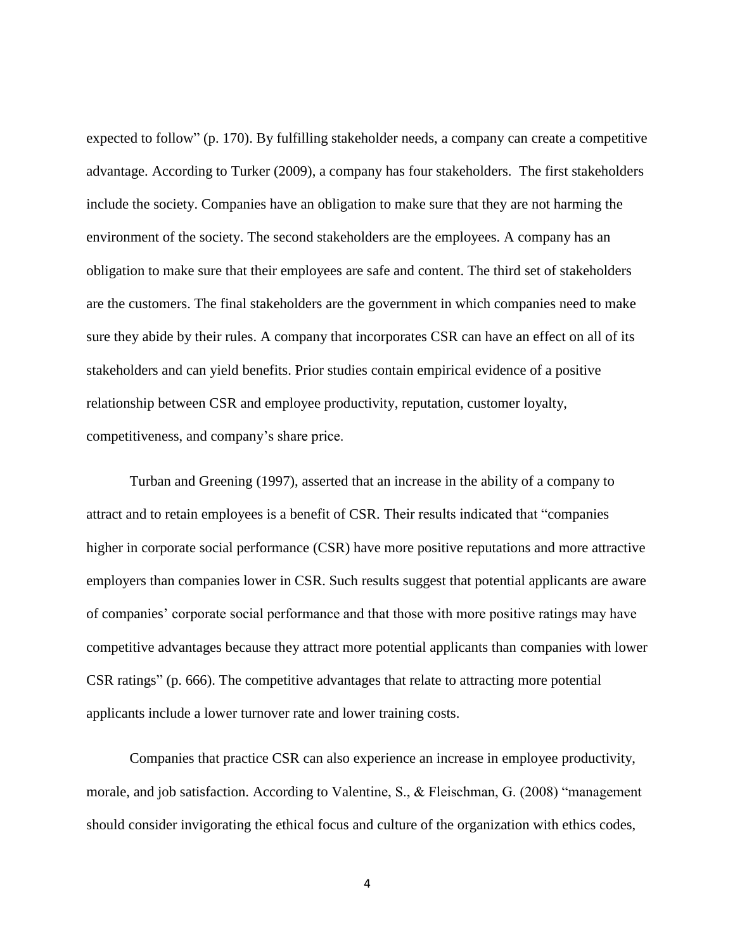expected to follow" (p. 170). By fulfilling stakeholder needs, a company can create a competitive advantage. According to Turker (2009), a company has four stakeholders. The first stakeholders include the society. Companies have an obligation to make sure that they are not harming the environment of the society. The second stakeholders are the employees. A company has an obligation to make sure that their employees are safe and content. The third set of stakeholders are the customers. The final stakeholders are the government in which companies need to make sure they abide by their rules. A company that incorporates CSR can have an effect on all of its stakeholders and can yield benefits. Prior studies contain empirical evidence of a positive relationship between CSR and employee productivity, reputation, customer loyalty, competitiveness, and company's share price.

Turban and Greening (1997), asserted that an increase in the ability of a company to attract and to retain employees is a benefit of CSR. Their results indicated that "companies higher in corporate social performance (CSR) have more positive reputations and more attractive employers than companies lower in CSR. Such results suggest that potential applicants are aware of companies' corporate social performance and that those with more positive ratings may have competitive advantages because they attract more potential applicants than companies with lower CSR ratings" (p. 666). The competitive advantages that relate to attracting more potential applicants include a lower turnover rate and lower training costs.

Companies that practice CSR can also experience an increase in employee productivity, morale, and job satisfaction. According to Valentine, S., & Fleischman, G. (2008) "management should consider invigorating the ethical focus and culture of the organization with ethics codes,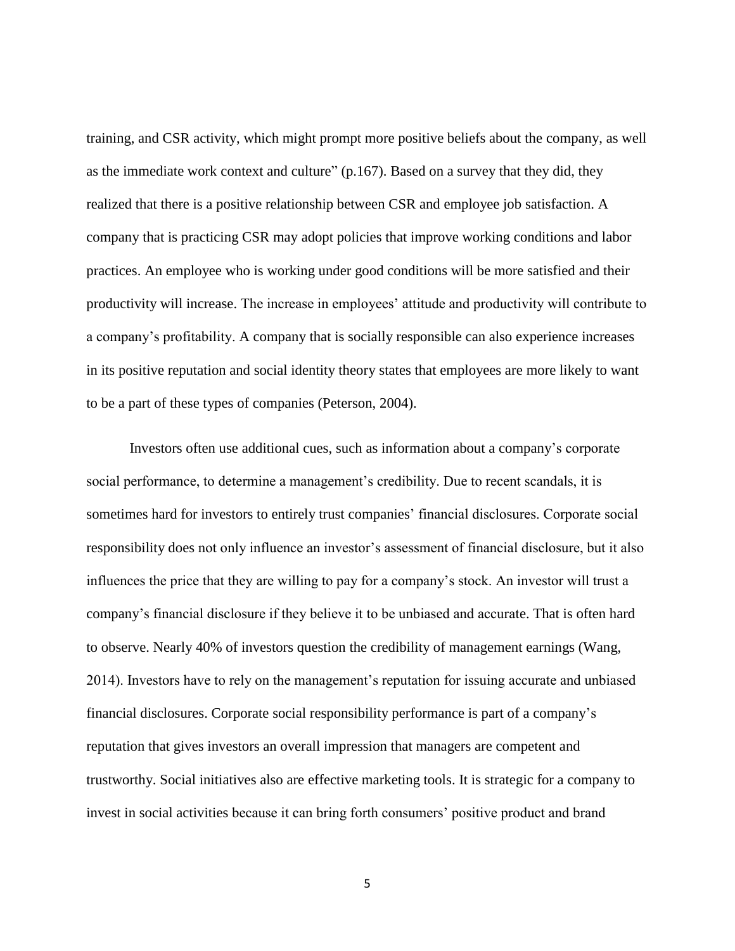training, and CSR activity, which might prompt more positive beliefs about the company, as well as the immediate work context and culture" (p.167). Based on a survey that they did, they realized that there is a positive relationship between CSR and employee job satisfaction. A company that is practicing CSR may adopt policies that improve working conditions and labor practices. An employee who is working under good conditions will be more satisfied and their productivity will increase. The increase in employees' attitude and productivity will contribute to a company's profitability. A company that is socially responsible can also experience increases in its positive reputation and social identity theory states that employees are more likely to want to be a part of these types of companies (Peterson, 2004).

Investors often use additional cues, such as information about a company's corporate social performance, to determine a management's credibility. Due to recent scandals, it is sometimes hard for investors to entirely trust companies' financial disclosures. Corporate social responsibility does not only influence an investor's assessment of financial disclosure, but it also influences the price that they are willing to pay for a company's stock. An investor will trust a company's financial disclosure if they believe it to be unbiased and accurate. That is often hard to observe. Nearly 40% of investors question the credibility of management earnings (Wang, 2014). Investors have to rely on the management's reputation for issuing accurate and unbiased financial disclosures. Corporate social responsibility performance is part of a company's reputation that gives investors an overall impression that managers are competent and trustworthy. Social initiatives also are effective marketing tools. It is strategic for a company to invest in social activities because it can bring forth consumers' positive product and brand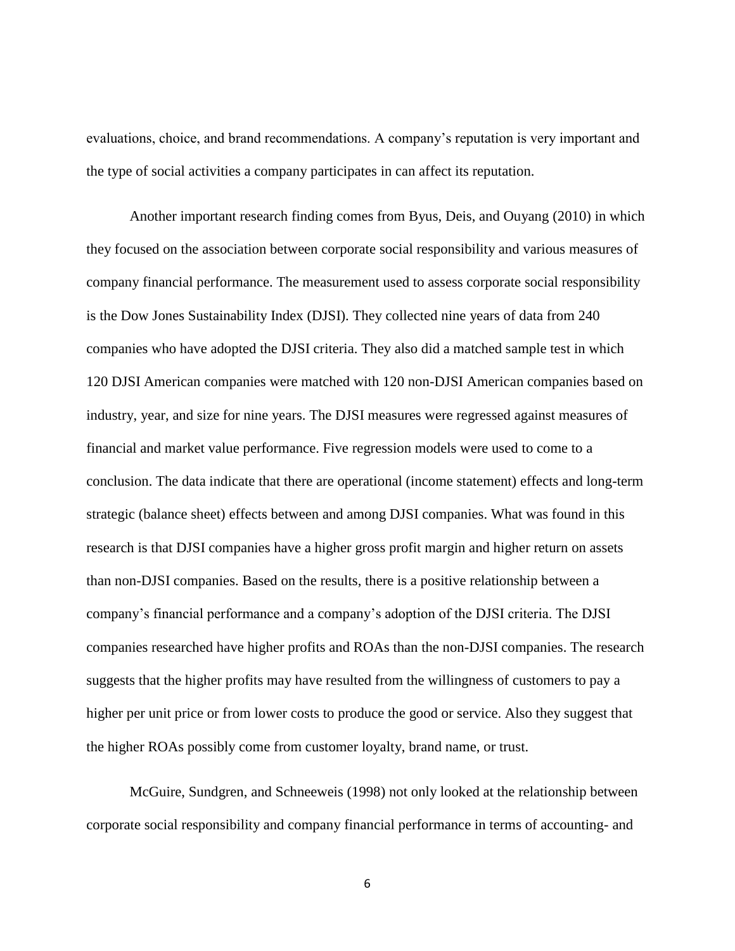evaluations, choice, and brand recommendations. A company's reputation is very important and the type of social activities a company participates in can affect its reputation.

Another important research finding comes from Byus, Deis, and Ouyang (2010) in which they focused on the association between corporate social responsibility and various measures of company financial performance. The measurement used to assess corporate social responsibility is the Dow Jones Sustainability Index (DJSI). They collected nine years of data from 240 companies who have adopted the DJSI criteria. They also did a matched sample test in which 120 DJSI American companies were matched with 120 non-DJSI American companies based on industry, year, and size for nine years. The DJSI measures were regressed against measures of financial and market value performance. Five regression models were used to come to a conclusion. The data indicate that there are operational (income statement) effects and long-term strategic (balance sheet) effects between and among DJSI companies. What was found in this research is that DJSI companies have a higher gross profit margin and higher return on assets than non-DJSI companies. Based on the results, there is a positive relationship between a company's financial performance and a company's adoption of the DJSI criteria. The DJSI companies researched have higher profits and ROAs than the non-DJSI companies. The research suggests that the higher profits may have resulted from the willingness of customers to pay a higher per unit price or from lower costs to produce the good or service. Also they suggest that the higher ROAs possibly come from customer loyalty, brand name, or trust.

McGuire, Sundgren, and Schneeweis (1998) not only looked at the relationship between corporate social responsibility and company financial performance in terms of accounting- and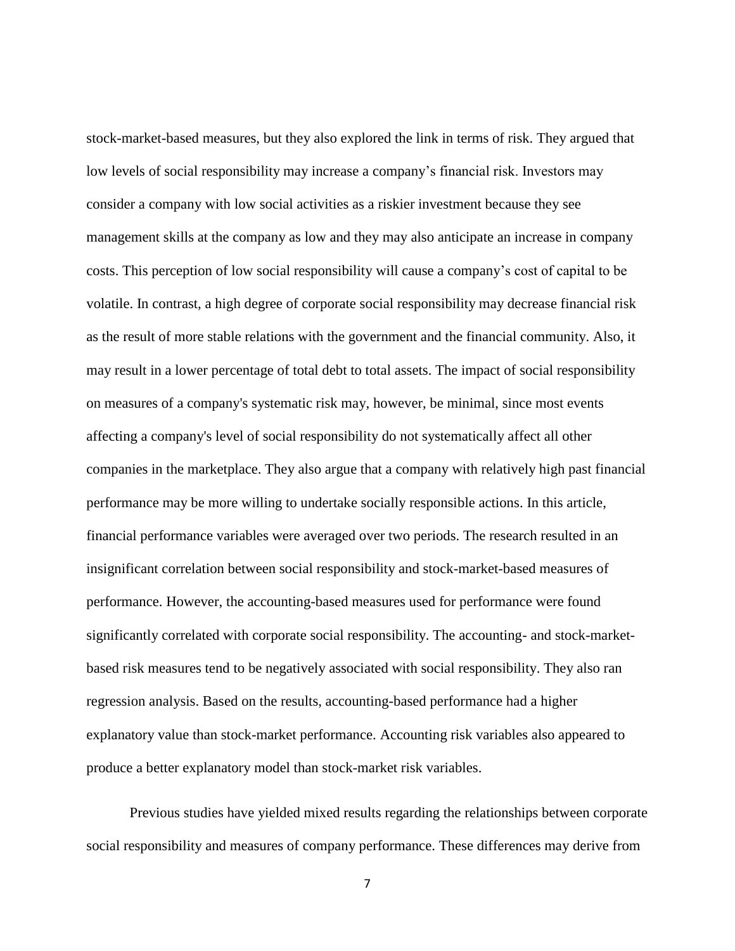stock-market-based measures, but they also explored the link in terms of risk. They argued that low levels of social responsibility may increase a company's financial risk. Investors may consider a company with low social activities as a riskier investment because they see management skills at the company as low and they may also anticipate an increase in company costs. This perception of low social responsibility will cause a company's cost of capital to be volatile. In contrast, a high degree of corporate social responsibility may decrease financial risk as the result of more stable relations with the government and the financial community. Also, it may result in a lower percentage of total debt to total assets. The impact of social responsibility on measures of a company's systematic risk may, however, be minimal, since most events affecting a company's level of social responsibility do not systematically affect all other companies in the marketplace. They also argue that a company with relatively high past financial performance may be more willing to undertake socially responsible actions. In this article, financial performance variables were averaged over two periods. The research resulted in an insignificant correlation between social responsibility and stock-market-based measures of performance. However, the accounting-based measures used for performance were found significantly correlated with corporate social responsibility. The accounting- and stock-marketbased risk measures tend to be negatively associated with social responsibility. They also ran regression analysis. Based on the results, accounting-based performance had a higher explanatory value than stock-market performance. Accounting risk variables also appeared to produce a better explanatory model than stock-market risk variables.

Previous studies have yielded mixed results regarding the relationships between corporate social responsibility and measures of company performance. These differences may derive from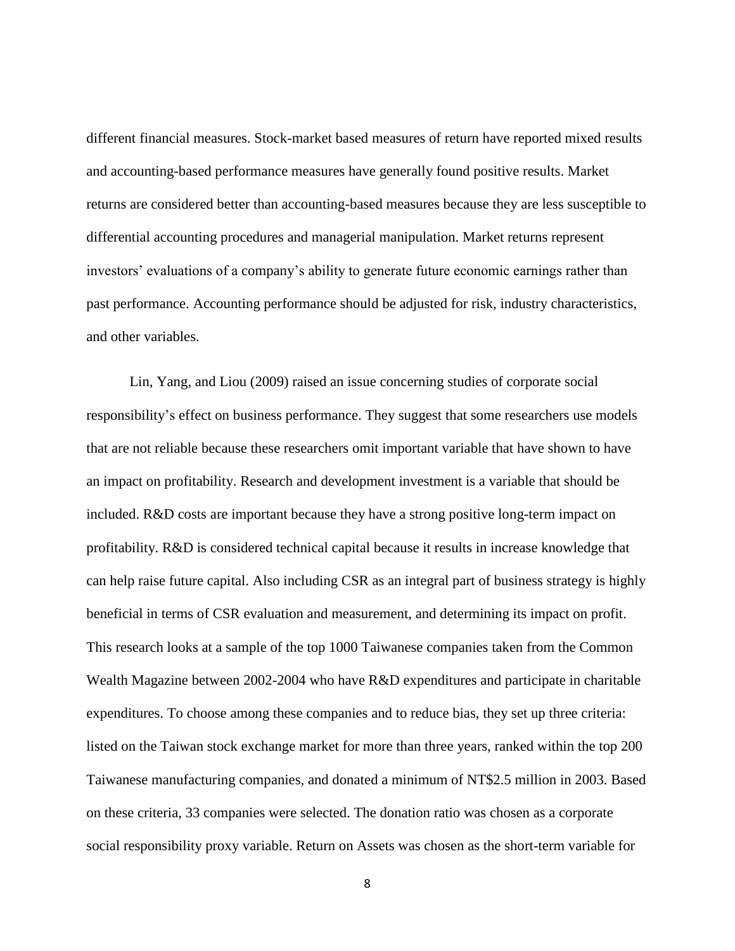different financial measures. Stock-market based measures of return have reported mixed results and accounting-based performance measures have generally found positive results. Market returns are considered better than accounting-based measures because they are less susceptible to differential accounting procedures and managerial manipulation. Market returns represent investors' evaluations of a company's ability to generate future economic earnings rather than past performance. Accounting performance should be adjusted for risk, industry characteristics, and other variables.

Lin, Yang, and Liou (2009) raised an issue concerning studies of corporate social responsibility's effect on business performance. They suggest that some researchers use models that are not reliable because these researchers omit important variable that have shown to have an impact on profitability. Research and development investment is a variable that should be included. R&D costs are important because they have a strong positive long-term impact on profitability. R&D is considered technical capital because it results in increase knowledge that can help raise future capital. Also including CSR as an integral part of business strategy is highly beneficial in terms of CSR evaluation and measurement, and determining its impact on profit. This research looks at a sample of the top 1000 Taiwanese companies taken from the Common Wealth Magazine between 2002-2004 who have R&D expenditures and participate in charitable expenditures. To choose among these companies and to reduce bias, they set up three criteria: listed on the Taiwan stock exchange market for more than three years, ranked within the top 200 Taiwanese manufacturing companies, and donated a minimum of NT\$2.5 million in 2003. Based on these criteria, 33 companies were selected. The donation ratio was chosen as a corporate social responsibility proxy variable. Return on Assets was chosen as the short-term variable for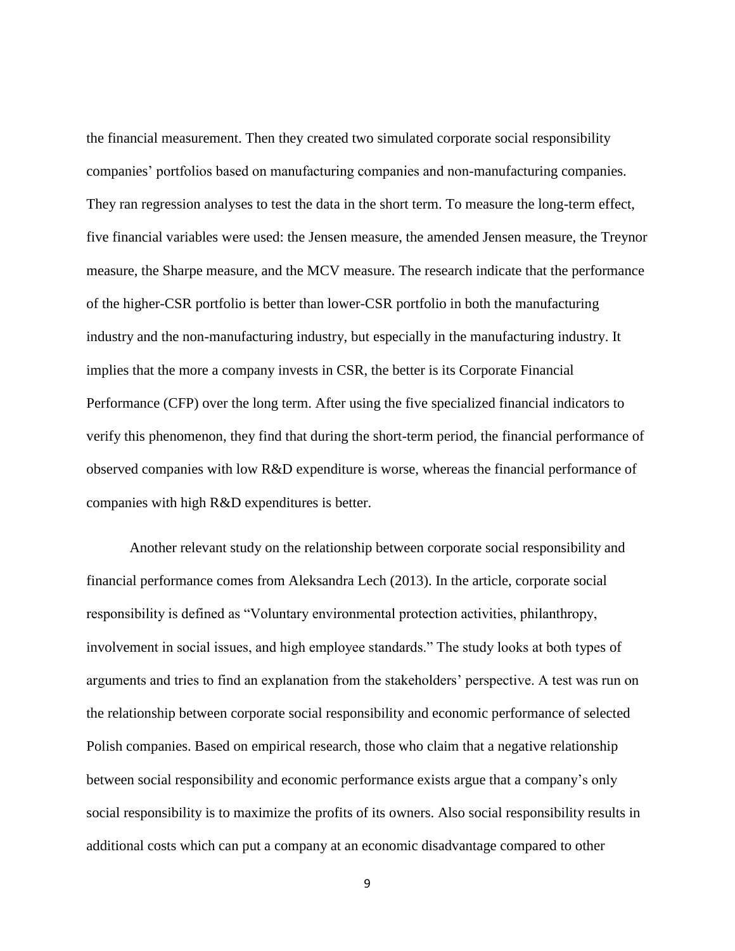the financial measurement. Then they created two simulated corporate social responsibility companies' portfolios based on manufacturing companies and non-manufacturing companies. They ran regression analyses to test the data in the short term. To measure the long-term effect, five financial variables were used: the Jensen measure, the amended Jensen measure, the Treynor measure, the Sharpe measure, and the MCV measure. The research indicate that the performance of the higher-CSR portfolio is better than lower-CSR portfolio in both the manufacturing industry and the non-manufacturing industry, but especially in the manufacturing industry. It implies that the more a company invests in CSR, the better is its Corporate Financial Performance (CFP) over the long term. After using the five specialized financial indicators to verify this phenomenon, they find that during the short-term period, the financial performance of observed companies with low R&D expenditure is worse, whereas the financial performance of companies with high R&D expenditures is better.

Another relevant study on the relationship between corporate social responsibility and financial performance comes from Aleksandra Lech (2013). In the article, corporate social responsibility is defined as "Voluntary environmental protection activities, philanthropy, involvement in social issues, and high employee standards." The study looks at both types of arguments and tries to find an explanation from the stakeholders' perspective. A test was run on the relationship between corporate social responsibility and economic performance of selected Polish companies. Based on empirical research, those who claim that a negative relationship between social responsibility and economic performance exists argue that a company's only social responsibility is to maximize the profits of its owners. Also social responsibility results in additional costs which can put a company at an economic disadvantage compared to other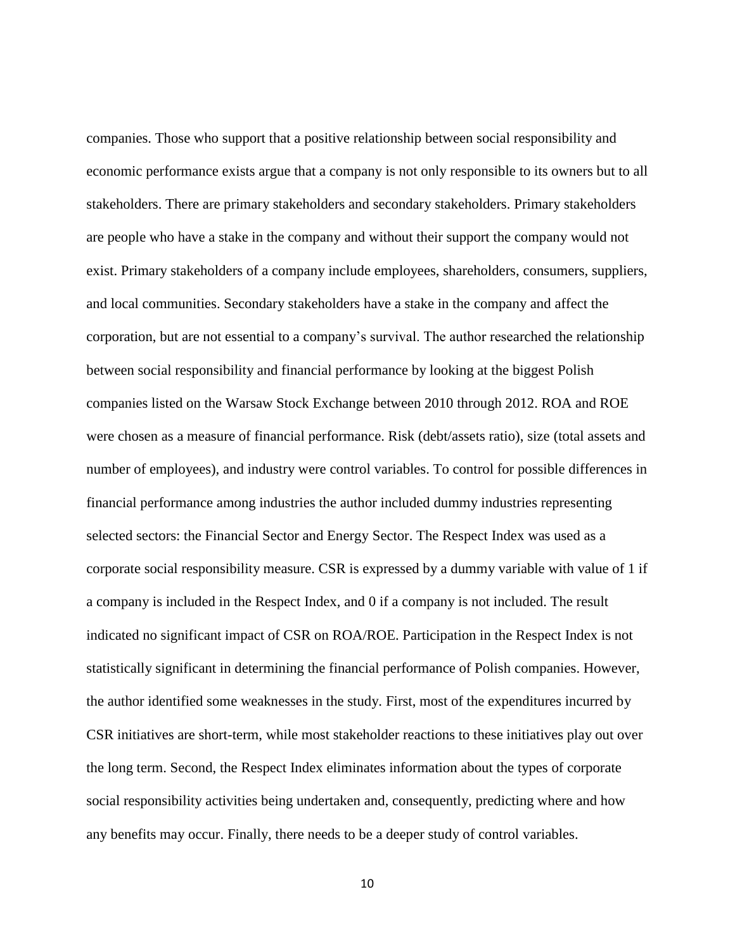companies. Those who support that a positive relationship between social responsibility and economic performance exists argue that a company is not only responsible to its owners but to all stakeholders. There are primary stakeholders and secondary stakeholders. Primary stakeholders are people who have a stake in the company and without their support the company would not exist. Primary stakeholders of a company include employees, shareholders, consumers, suppliers, and local communities. Secondary stakeholders have a stake in the company and affect the corporation, but are not essential to a company's survival. The author researched the relationship between social responsibility and financial performance by looking at the biggest Polish companies listed on the Warsaw Stock Exchange between 2010 through 2012. ROA and ROE were chosen as a measure of financial performance. Risk (debt/assets ratio), size (total assets and number of employees), and industry were control variables. To control for possible differences in financial performance among industries the author included dummy industries representing selected sectors: the Financial Sector and Energy Sector. The Respect Index was used as a corporate social responsibility measure. CSR is expressed by a dummy variable with value of 1 if a company is included in the Respect Index, and 0 if a company is not included. The result indicated no significant impact of CSR on ROA/ROE. Participation in the Respect Index is not statistically significant in determining the financial performance of Polish companies. However, the author identified some weaknesses in the study. First, most of the expenditures incurred by CSR initiatives are short-term, while most stakeholder reactions to these initiatives play out over the long term. Second, the Respect Index eliminates information about the types of corporate social responsibility activities being undertaken and, consequently, predicting where and how any benefits may occur. Finally, there needs to be a deeper study of control variables.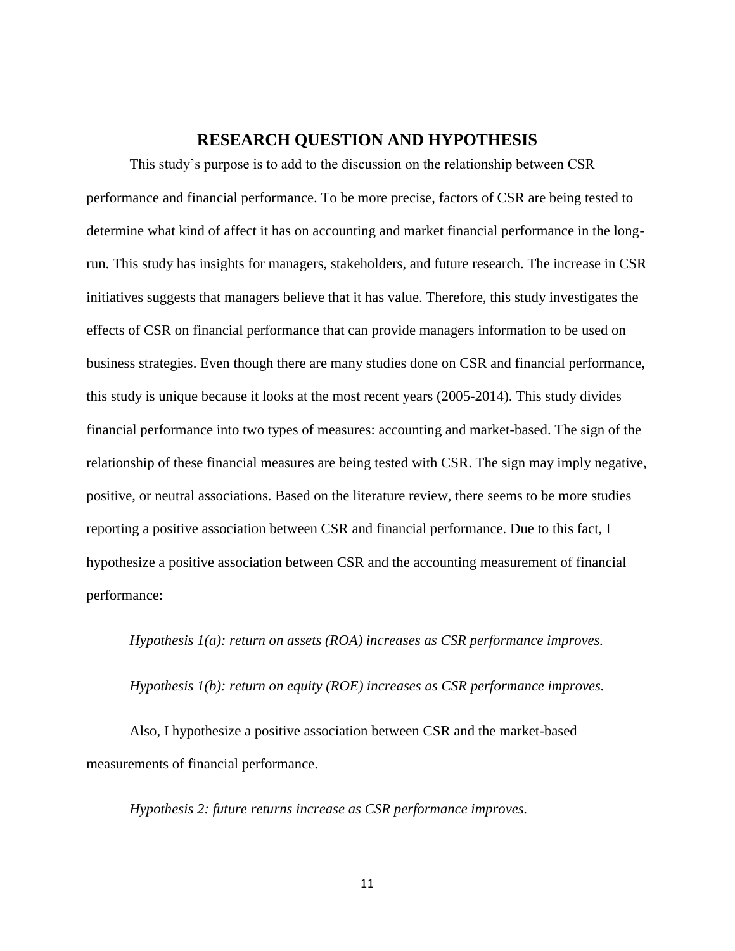#### **RESEARCH QUESTION AND HYPOTHESIS**

<span id="page-17-0"></span>This study's purpose is to add to the discussion on the relationship between CSR performance and financial performance. To be more precise, factors of CSR are being tested to determine what kind of affect it has on accounting and market financial performance in the longrun. This study has insights for managers, stakeholders, and future research. The increase in CSR initiatives suggests that managers believe that it has value. Therefore, this study investigates the effects of CSR on financial performance that can provide managers information to be used on business strategies. Even though there are many studies done on CSR and financial performance, this study is unique because it looks at the most recent years (2005-2014). This study divides financial performance into two types of measures: accounting and market-based. The sign of the relationship of these financial measures are being tested with CSR. The sign may imply negative, positive, or neutral associations. Based on the literature review, there seems to be more studies reporting a positive association between CSR and financial performance. Due to this fact, I hypothesize a positive association between CSR and the accounting measurement of financial performance:

*Hypothesis 1(a): return on assets (ROA) increases as CSR performance improves.*

*Hypothesis 1(b): return on equity (ROE) increases as CSR performance improves.*

Also, I hypothesize a positive association between CSR and the market-based measurements of financial performance.

*Hypothesis 2: future returns increase as CSR performance improves.*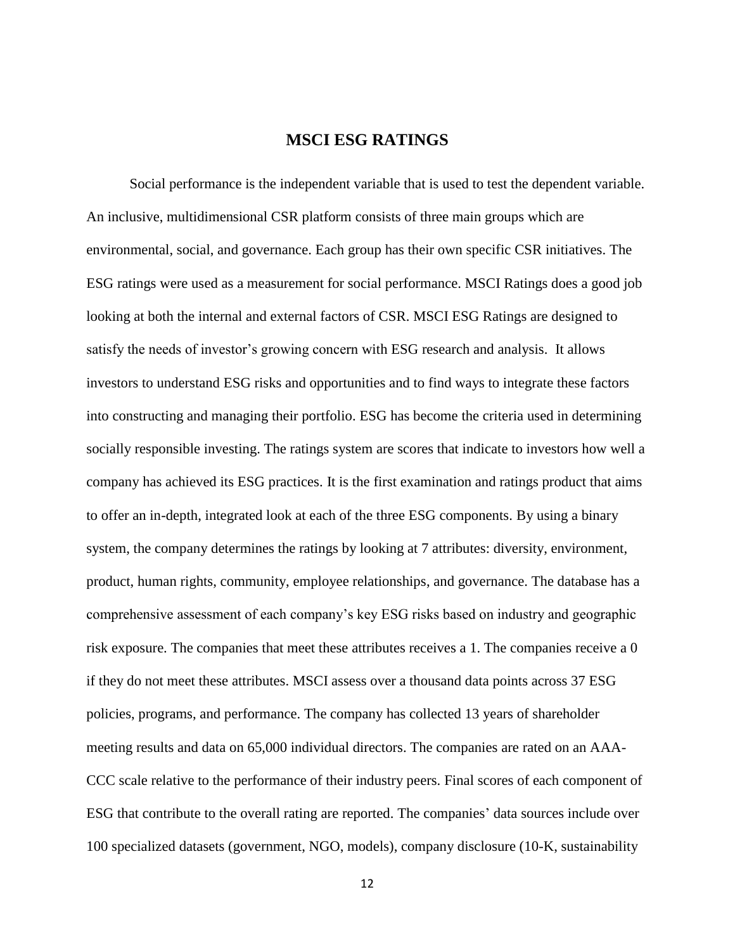## **MSCI ESG RATINGS**

<span id="page-18-0"></span>Social performance is the independent variable that is used to test the dependent variable. An inclusive, multidimensional CSR platform consists of three main groups which are environmental, social, and governance. Each group has their own specific CSR initiatives. The ESG ratings were used as a measurement for social performance. MSCI Ratings does a good job looking at both the internal and external factors of CSR. MSCI ESG Ratings are designed to satisfy the needs of investor's growing concern with ESG research and analysis. It allows investors to understand ESG risks and opportunities and to find ways to integrate these factors into constructing and managing their portfolio. ESG has become the criteria used in determining socially responsible investing. The ratings system are scores that indicate to investors how well a company has achieved its ESG practices. It is the first examination and ratings product that aims to offer an in-depth, integrated look at each of the three ESG components. By using a binary system, the company determines the ratings by looking at 7 attributes: diversity, environment, product, human rights, community, employee relationships, and governance. The database has a comprehensive assessment of each company's key ESG risks based on industry and geographic risk exposure. The companies that meet these attributes receives a 1. The companies receive a 0 if they do not meet these attributes. MSCI assess over a thousand data points across 37 ESG policies, programs, and performance. The company has collected 13 years of shareholder meeting results and data on 65,000 individual directors. The companies are rated on an AAA-CCC scale relative to the performance of their industry peers. Final scores of each component of ESG that contribute to the overall rating are reported. The companies' data sources include over 100 specialized datasets (government, NGO, models), company disclosure (10-K, sustainability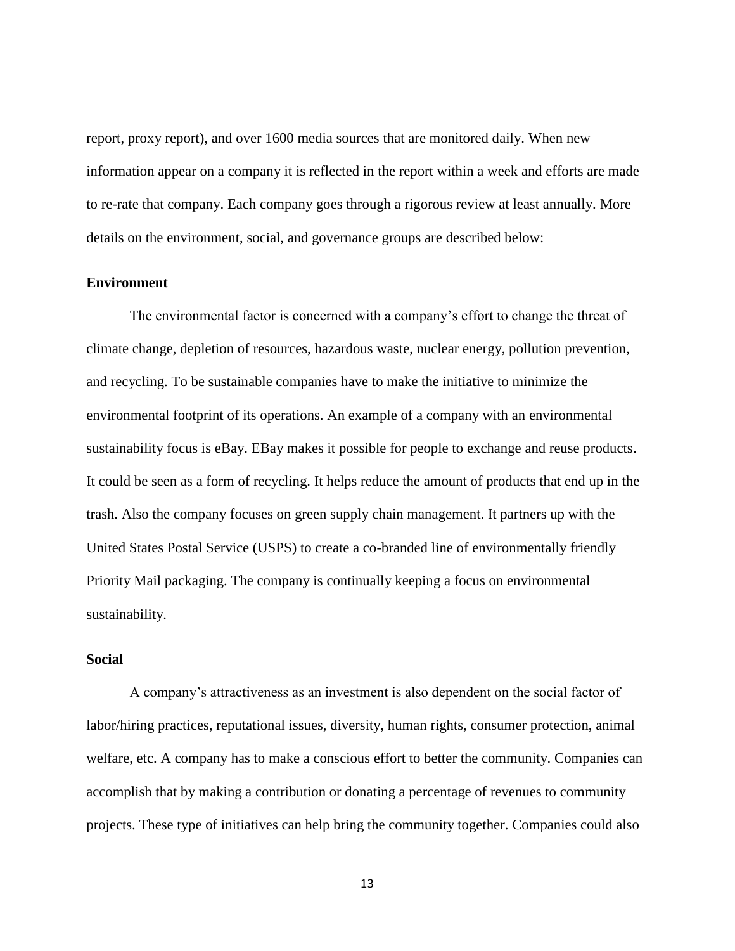report, proxy report), and over 1600 media sources that are monitored daily. When new information appear on a company it is reflected in the report within a week and efforts are made to re-rate that company. Each company goes through a rigorous review at least annually. More details on the environment, social, and governance groups are described below:

#### <span id="page-19-0"></span>**Environment**

The environmental factor is concerned with a company's effort to change the threat of climate change, depletion of resources, hazardous waste, nuclear energy, pollution prevention, and recycling. To be sustainable companies have to make the initiative to minimize the environmental footprint of its operations. An example of a company with an environmental sustainability focus is eBay. EBay makes it possible for people to exchange and reuse products. It could be seen as a form of recycling. It helps reduce the amount of products that end up in the trash. Also the company focuses on green supply chain management. It partners up with the United States Postal Service (USPS) to create a co-branded line of environmentally friendly Priority Mail packaging. The company is continually keeping a focus on environmental sustainability.

#### <span id="page-19-1"></span>**Social**

A company's attractiveness as an investment is also dependent on the social factor of labor/hiring practices, reputational issues, diversity, human rights, consumer protection, animal welfare, etc. A company has to make a conscious effort to better the community. Companies can accomplish that by making a contribution or donating a percentage of revenues to community projects. These type of initiatives can help bring the community together. Companies could also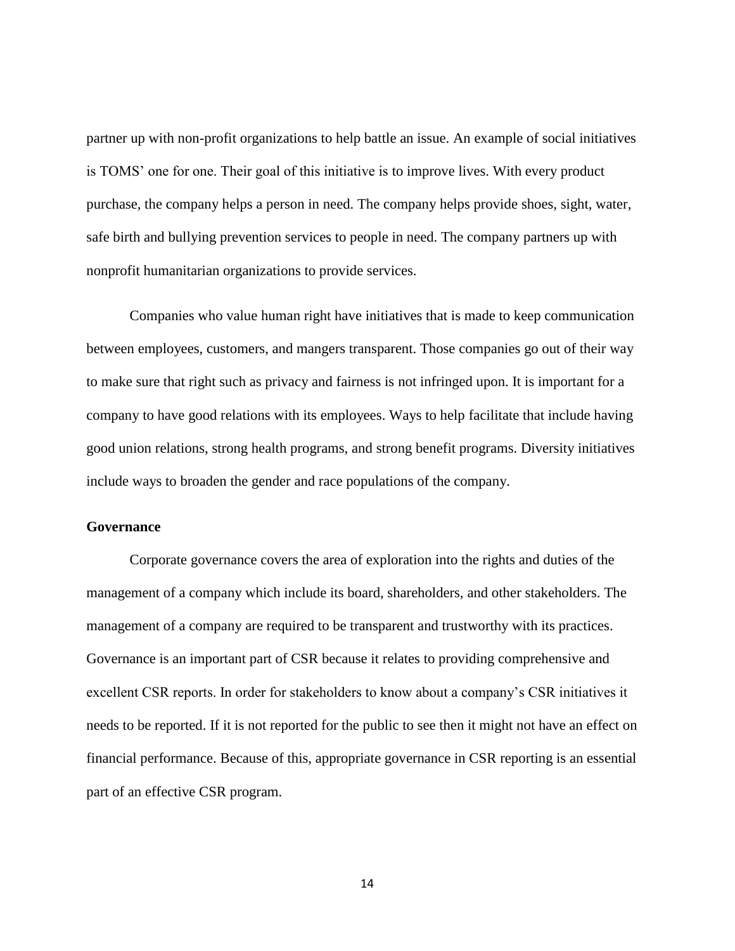partner up with non-profit organizations to help battle an issue. An example of social initiatives is TOMS' one for one. Their goal of this initiative is to improve lives. With every product purchase, the company helps a person in need. The company helps provide shoes, sight, water, safe birth and bullying prevention services to people in need. The company partners up with nonprofit humanitarian organizations to provide services.

Companies who value human right have initiatives that is made to keep communication between employees, customers, and mangers transparent. Those companies go out of their way to make sure that right such as privacy and fairness is not infringed upon. It is important for a company to have good relations with its employees. Ways to help facilitate that include having good union relations, strong health programs, and strong benefit programs. Diversity initiatives include ways to broaden the gender and race populations of the company.

#### <span id="page-20-0"></span>**Governance**

Corporate governance covers the area of exploration into the rights and duties of the management of a company which include its board, shareholders, and other stakeholders. The management of a company are required to be transparent and trustworthy with its practices. Governance is an important part of CSR because it relates to providing comprehensive and excellent CSR reports. In order for stakeholders to know about a company's CSR initiatives it needs to be reported. If it is not reported for the public to see then it might not have an effect on financial performance. Because of this, appropriate governance in CSR reporting is an essential part of an effective CSR program.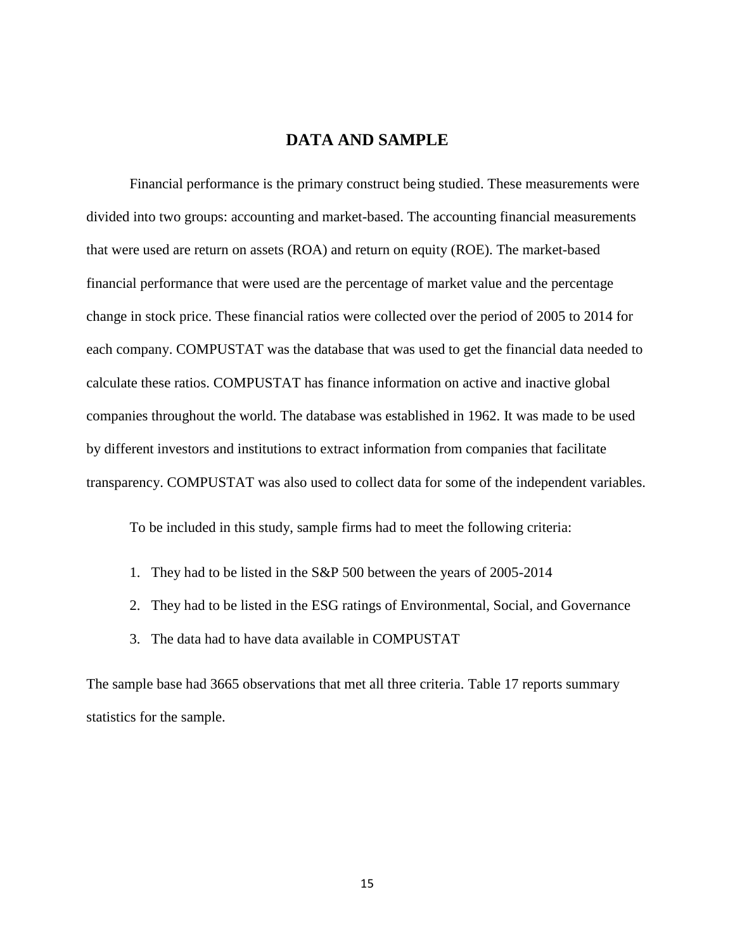## **DATA AND SAMPLE**

<span id="page-21-0"></span>Financial performance is the primary construct being studied. These measurements were divided into two groups: accounting and market-based. The accounting financial measurements that were used are return on assets (ROA) and return on equity (ROE). The market-based financial performance that were used are the percentage of market value and the percentage change in stock price. These financial ratios were collected over the period of 2005 to 2014 for each company. COMPUSTAT was the database that was used to get the financial data needed to calculate these ratios. COMPUSTAT has finance information on active and inactive global companies throughout the world. The database was established in 1962. It was made to be used by different investors and institutions to extract information from companies that facilitate transparency. COMPUSTAT was also used to collect data for some of the independent variables.

To be included in this study, sample firms had to meet the following criteria:

- 1. They had to be listed in the S&P 500 between the years of 2005-2014
- 2. They had to be listed in the ESG ratings of Environmental, Social, and Governance
- 3. The data had to have data available in COMPUSTAT

The sample base had 3665 observations that met all three criteria. Table 17 reports summary statistics for the sample.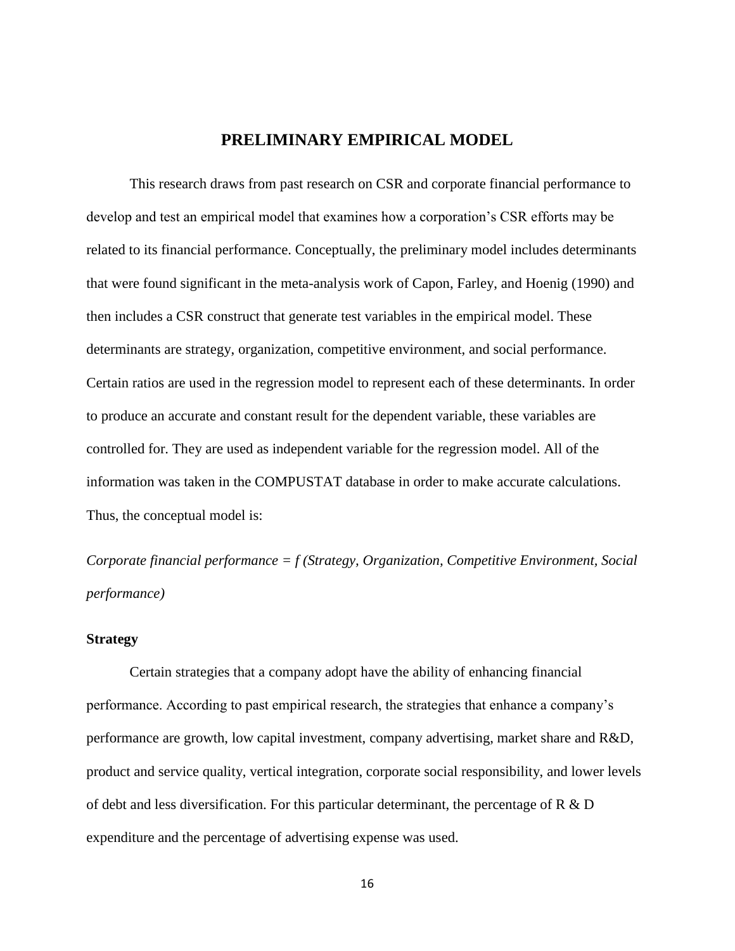## **PRELIMINARY EMPIRICAL MODEL**

<span id="page-22-0"></span>This research draws from past research on CSR and corporate financial performance to develop and test an empirical model that examines how a corporation's CSR efforts may be related to its financial performance. Conceptually, the preliminary model includes determinants that were found significant in the meta-analysis work of Capon, Farley, and Hoenig (1990) and then includes a CSR construct that generate test variables in the empirical model. These determinants are strategy, organization, competitive environment, and social performance. Certain ratios are used in the regression model to represent each of these determinants. In order to produce an accurate and constant result for the dependent variable, these variables are controlled for. They are used as independent variable for the regression model. All of the information was taken in the COMPUSTAT database in order to make accurate calculations. Thus, the conceptual model is:

*Corporate financial performance = f (Strategy, Organization, Competitive Environment, Social performance)*

#### <span id="page-22-1"></span>**Strategy**

Certain strategies that a company adopt have the ability of enhancing financial performance. According to past empirical research, the strategies that enhance a company's performance are growth, low capital investment, company advertising, market share and R&D, product and service quality, vertical integration, corporate social responsibility, and lower levels of debt and less diversification. For this particular determinant, the percentage of R & D expenditure and the percentage of advertising expense was used.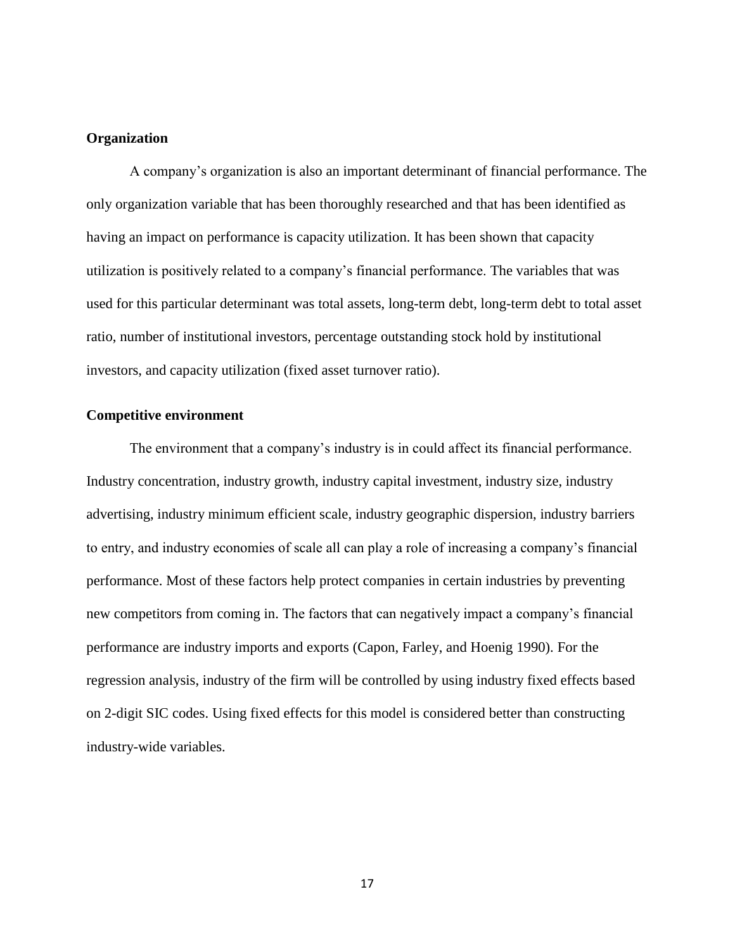#### <span id="page-23-0"></span>**Organization**

A company's organization is also an important determinant of financial performance. The only organization variable that has been thoroughly researched and that has been identified as having an impact on performance is capacity utilization. It has been shown that capacity utilization is positively related to a company's financial performance. The variables that was used for this particular determinant was total assets, long-term debt, long-term debt to total asset ratio, number of institutional investors, percentage outstanding stock hold by institutional investors, and capacity utilization (fixed asset turnover ratio).

#### <span id="page-23-1"></span>**Competitive environment**

The environment that a company's industry is in could affect its financial performance. Industry concentration, industry growth, industry capital investment, industry size, industry advertising, industry minimum efficient scale, industry geographic dispersion, industry barriers to entry, and industry economies of scale all can play a role of increasing a company's financial performance. Most of these factors help protect companies in certain industries by preventing new competitors from coming in. The factors that can negatively impact a company's financial performance are industry imports and exports (Capon, Farley, and Hoenig 1990). For the regression analysis, industry of the firm will be controlled by using industry fixed effects based on 2-digit SIC codes. Using fixed effects for this model is considered better than constructing industry-wide variables.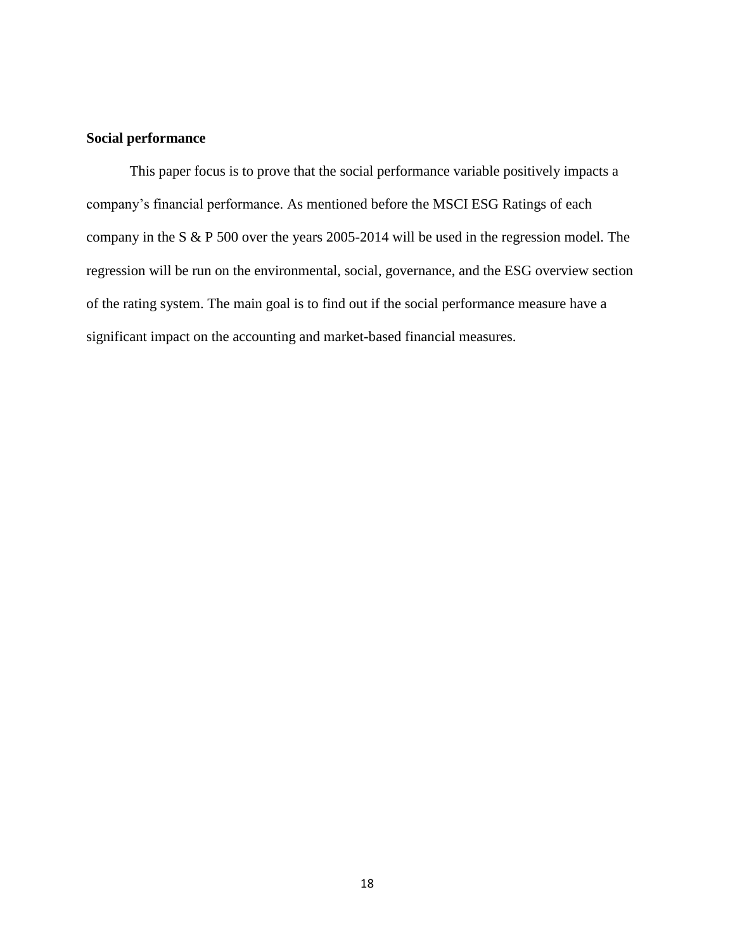## <span id="page-24-0"></span>**Social performance**

This paper focus is to prove that the social performance variable positively impacts a company's financial performance. As mentioned before the MSCI ESG Ratings of each company in the S & P 500 over the years 2005-2014 will be used in the regression model. The regression will be run on the environmental, social, governance, and the ESG overview section of the rating system. The main goal is to find out if the social performance measure have a significant impact on the accounting and market-based financial measures.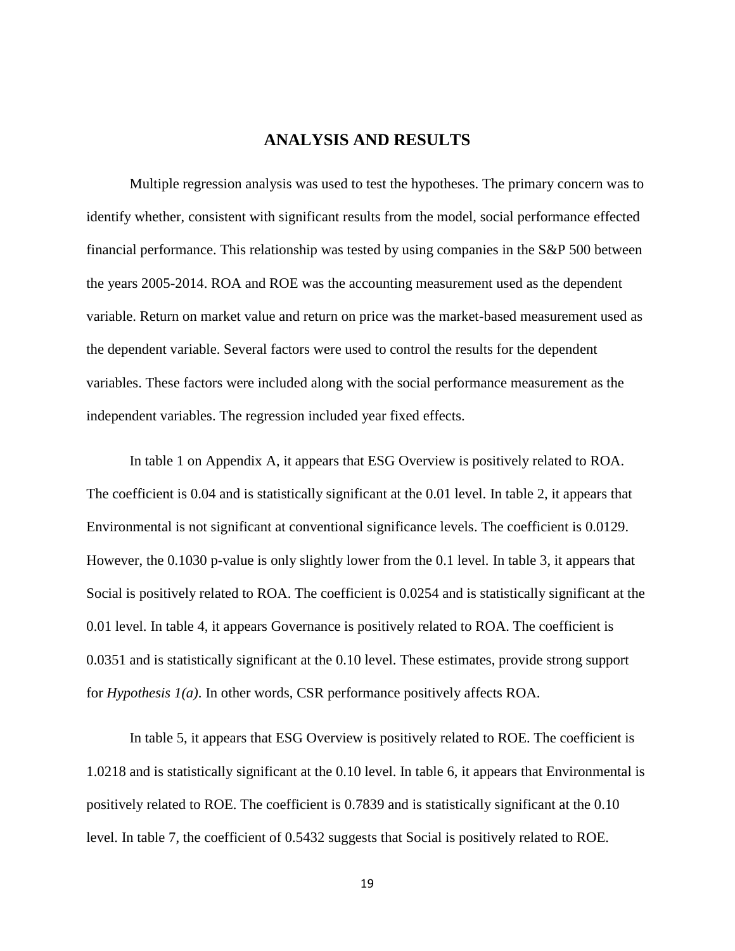## **ANALYSIS AND RESULTS**

<span id="page-25-0"></span>Multiple regression analysis was used to test the hypotheses. The primary concern was to identify whether, consistent with significant results from the model, social performance effected financial performance. This relationship was tested by using companies in the S&P 500 between the years 2005-2014. ROA and ROE was the accounting measurement used as the dependent variable. Return on market value and return on price was the market-based measurement used as the dependent variable. Several factors were used to control the results for the dependent variables. These factors were included along with the social performance measurement as the independent variables. The regression included year fixed effects.

In table 1 on Appendix A, it appears that ESG Overview is positively related to ROA. The coefficient is 0.04 and is statistically significant at the 0.01 level. In table 2, it appears that Environmental is not significant at conventional significance levels. The coefficient is 0.0129. However, the 0.1030 p-value is only slightly lower from the 0.1 level. In table 3, it appears that Social is positively related to ROA. The coefficient is 0.0254 and is statistically significant at the 0.01 level. In table 4, it appears Governance is positively related to ROA. The coefficient is 0.0351 and is statistically significant at the 0.10 level. These estimates, provide strong support for *Hypothesis 1(a)*. In other words, CSR performance positively affects ROA.

In table 5, it appears that ESG Overview is positively related to ROE. The coefficient is 1.0218 and is statistically significant at the 0.10 level. In table 6, it appears that Environmental is positively related to ROE. The coefficient is 0.7839 and is statistically significant at the 0.10 level. In table 7, the coefficient of 0.5432 suggests that Social is positively related to ROE.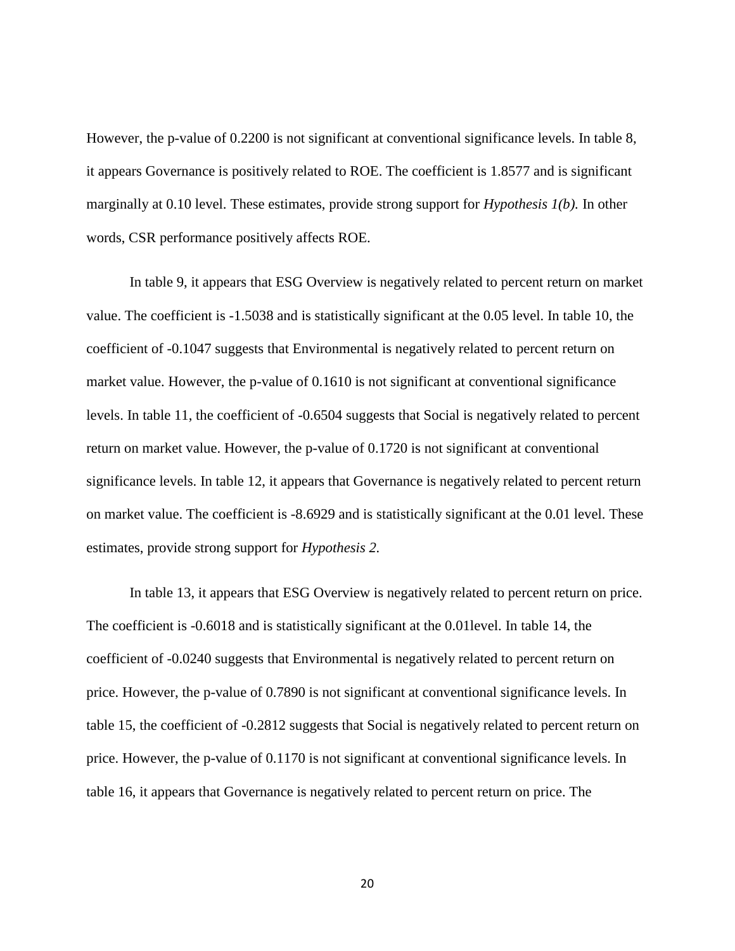However, the p-value of 0.2200 is not significant at conventional significance levels. In table 8, it appears Governance is positively related to ROE. The coefficient is 1.8577 and is significant marginally at 0.10 level. These estimates, provide strong support for *Hypothesis 1(b).* In other words, CSR performance positively affects ROE.

In table 9, it appears that ESG Overview is negatively related to percent return on market value. The coefficient is -1.5038 and is statistically significant at the 0.05 level. In table 10, the coefficient of -0.1047 suggests that Environmental is negatively related to percent return on market value. However, the p-value of 0.1610 is not significant at conventional significance levels. In table 11, the coefficient of -0.6504 suggests that Social is negatively related to percent return on market value. However, the p-value of 0.1720 is not significant at conventional significance levels. In table 12, it appears that Governance is negatively related to percent return on market value. The coefficient is -8.6929 and is statistically significant at the 0.01 level. These estimates, provide strong support for *Hypothesis 2.* 

In table 13, it appears that ESG Overview is negatively related to percent return on price. The coefficient is -0.6018 and is statistically significant at the 0.01level. In table 14, the coefficient of -0.0240 suggests that Environmental is negatively related to percent return on price. However, the p-value of 0.7890 is not significant at conventional significance levels. In table 15, the coefficient of -0.2812 suggests that Social is negatively related to percent return on price. However, the p-value of 0.1170 is not significant at conventional significance levels. In table 16, it appears that Governance is negatively related to percent return on price. The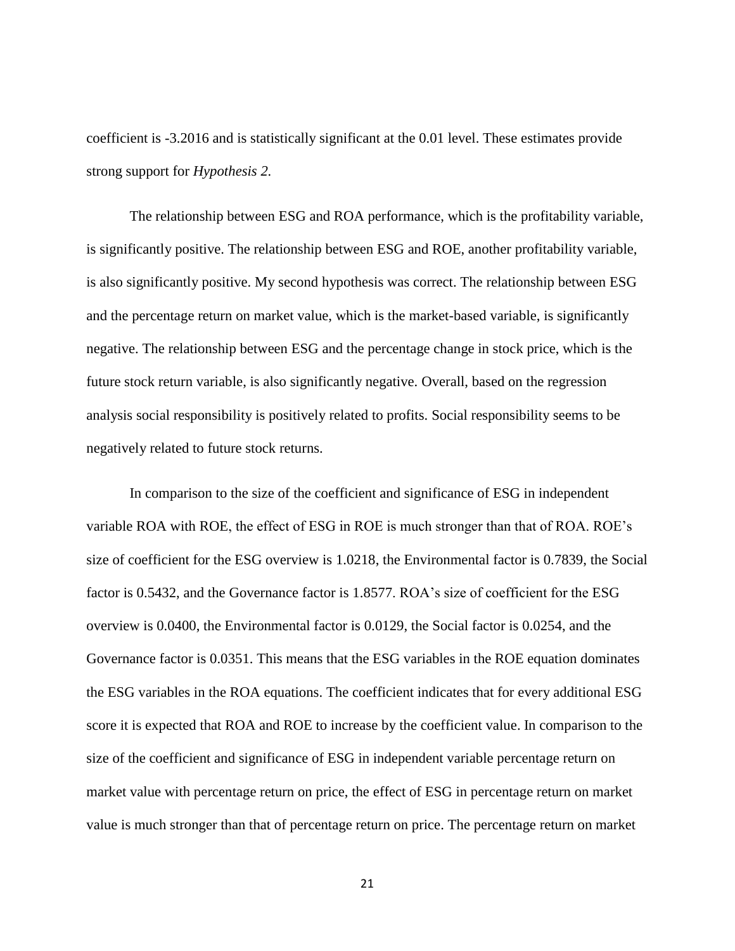coefficient is -3.2016 and is statistically significant at the 0.01 level. These estimates provide strong support for *Hypothesis 2.*

The relationship between ESG and ROA performance, which is the profitability variable, is significantly positive. The relationship between ESG and ROE, another profitability variable, is also significantly positive. My second hypothesis was correct. The relationship between ESG and the percentage return on market value, which is the market-based variable, is significantly negative. The relationship between ESG and the percentage change in stock price, which is the future stock return variable, is also significantly negative. Overall, based on the regression analysis social responsibility is positively related to profits. Social responsibility seems to be negatively related to future stock returns.

In comparison to the size of the coefficient and significance of ESG in independent variable ROA with ROE, the effect of ESG in ROE is much stronger than that of ROA. ROE's size of coefficient for the ESG overview is 1.0218, the Environmental factor is 0.7839, the Social factor is 0.5432, and the Governance factor is 1.8577. ROA's size of coefficient for the ESG overview is 0.0400, the Environmental factor is 0.0129, the Social factor is 0.0254, and the Governance factor is 0.0351. This means that the ESG variables in the ROE equation dominates the ESG variables in the ROA equations. The coefficient indicates that for every additional ESG score it is expected that ROA and ROE to increase by the coefficient value. In comparison to the size of the coefficient and significance of ESG in independent variable percentage return on market value with percentage return on price, the effect of ESG in percentage return on market value is much stronger than that of percentage return on price. The percentage return on market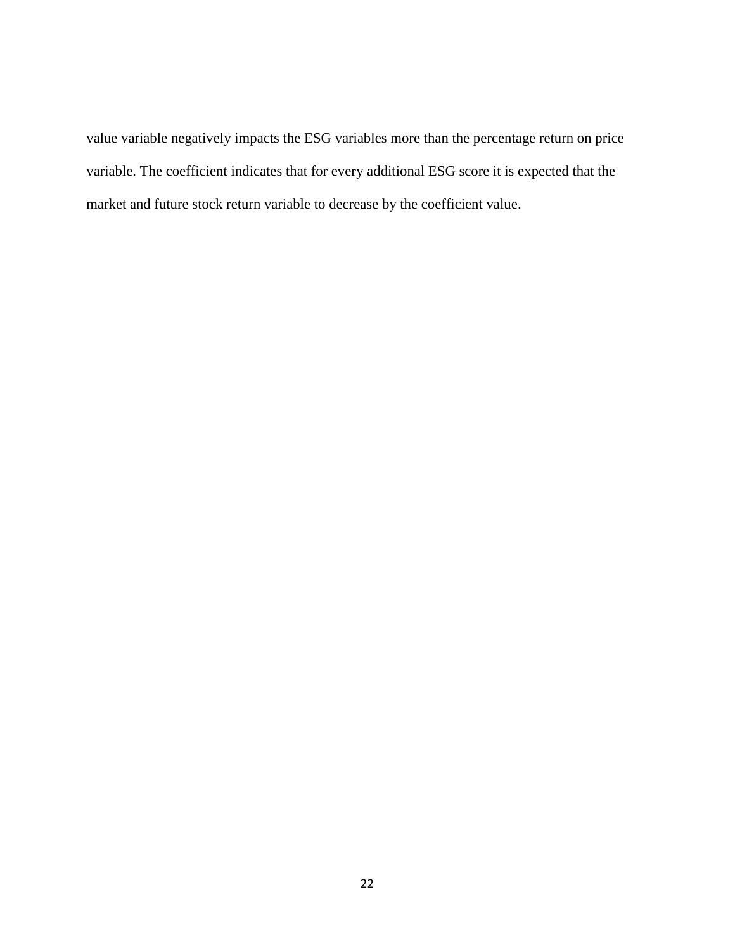value variable negatively impacts the ESG variables more than the percentage return on price variable. The coefficient indicates that for every additional ESG score it is expected that the market and future stock return variable to decrease by the coefficient value.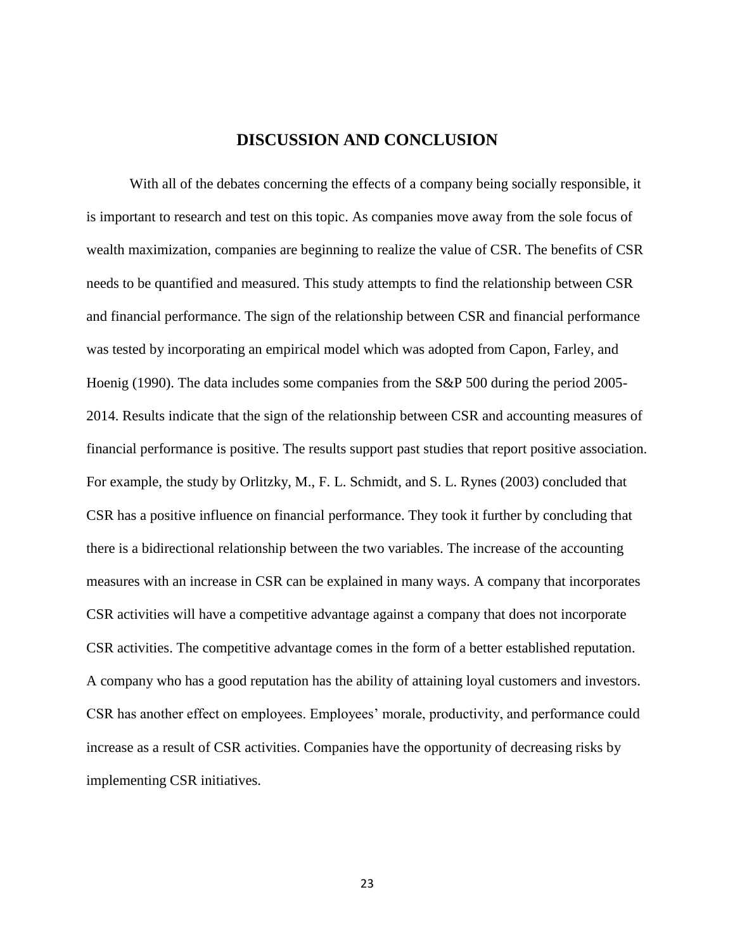## **DISCUSSION AND CONCLUSION**

<span id="page-29-0"></span>With all of the debates concerning the effects of a company being socially responsible, it is important to research and test on this topic. As companies move away from the sole focus of wealth maximization, companies are beginning to realize the value of CSR. The benefits of CSR needs to be quantified and measured. This study attempts to find the relationship between CSR and financial performance. The sign of the relationship between CSR and financial performance was tested by incorporating an empirical model which was adopted from Capon, Farley, and Hoenig (1990). The data includes some companies from the S&P 500 during the period 2005- 2014. Results indicate that the sign of the relationship between CSR and accounting measures of financial performance is positive. The results support past studies that report positive association. For example, the study by Orlitzky, M., F. L. Schmidt, and S. L. Rynes (2003) concluded that CSR has a positive influence on financial performance. They took it further by concluding that there is a bidirectional relationship between the two variables. The increase of the accounting measures with an increase in CSR can be explained in many ways. A company that incorporates CSR activities will have a competitive advantage against a company that does not incorporate CSR activities. The competitive advantage comes in the form of a better established reputation. A company who has a good reputation has the ability of attaining loyal customers and investors. CSR has another effect on employees. Employees' morale, productivity, and performance could increase as a result of CSR activities. Companies have the opportunity of decreasing risks by implementing CSR initiatives.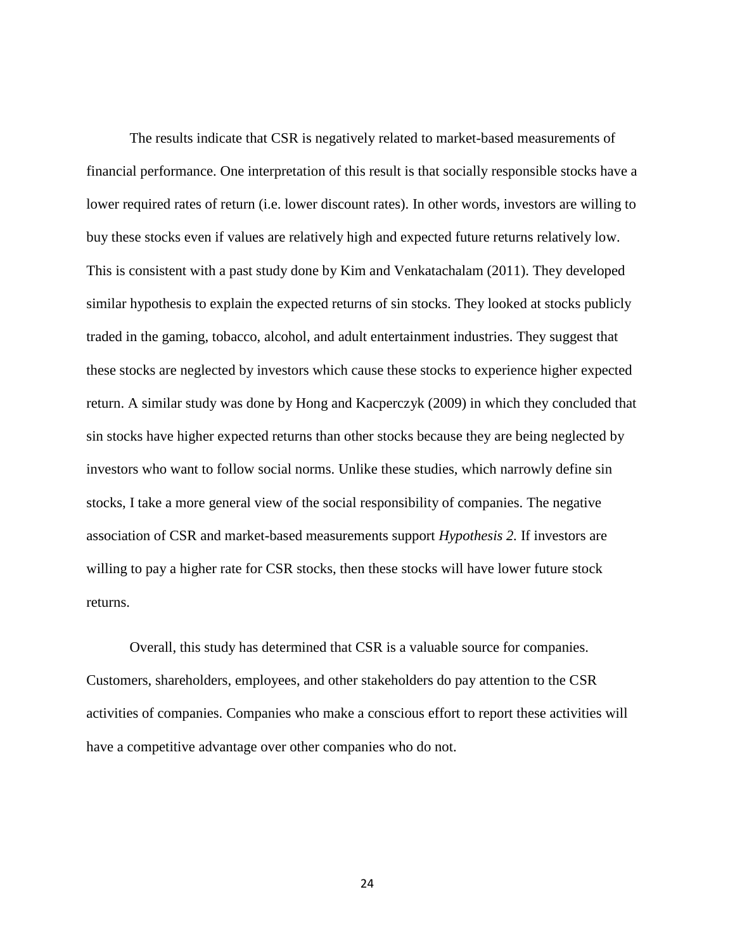The results indicate that CSR is negatively related to market-based measurements of financial performance. One interpretation of this result is that socially responsible stocks have a lower required rates of return (i.e. lower discount rates). In other words, investors are willing to buy these stocks even if values are relatively high and expected future returns relatively low. This is consistent with a past study done by Kim and Venkatachalam (2011). They developed similar hypothesis to explain the expected returns of sin stocks. They looked at stocks publicly traded in the gaming, tobacco, alcohol, and adult entertainment industries. They suggest that these stocks are neglected by investors which cause these stocks to experience higher expected return. A similar study was done by Hong and Kacperczyk (2009) in which they concluded that sin stocks have higher expected returns than other stocks because they are being neglected by investors who want to follow social norms. Unlike these studies, which narrowly define sin stocks, I take a more general view of the social responsibility of companies. The negative association of CSR and market-based measurements support *Hypothesis 2.* If investors are willing to pay a higher rate for CSR stocks, then these stocks will have lower future stock returns.

Overall, this study has determined that CSR is a valuable source for companies. Customers, shareholders, employees, and other stakeholders do pay attention to the CSR activities of companies. Companies who make a conscious effort to report these activities will have a competitive advantage over other companies who do not.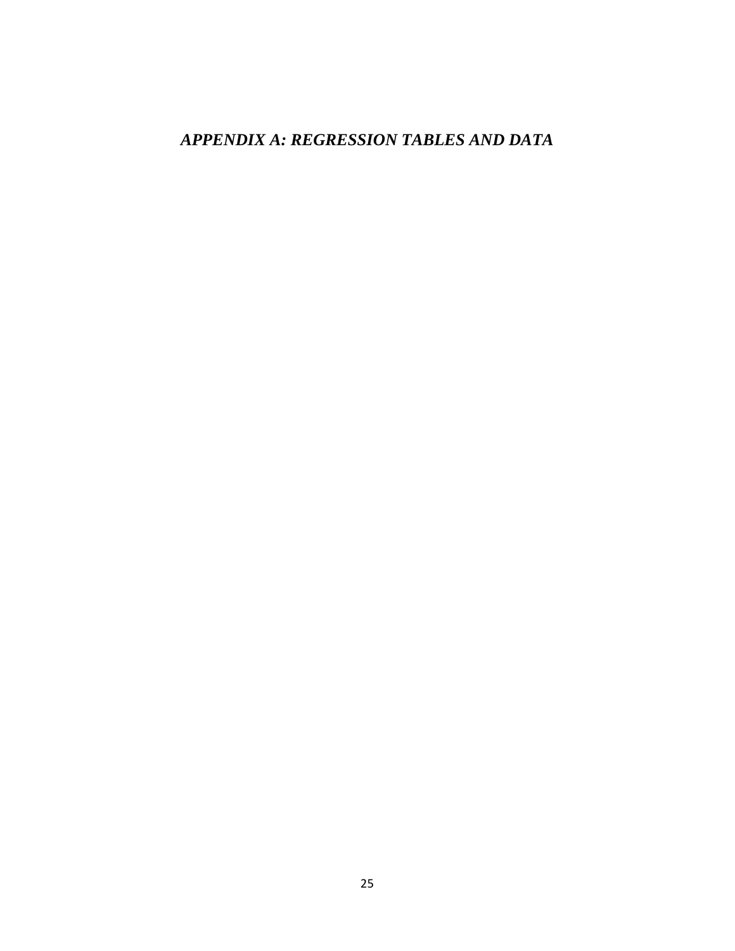# *APPENDIX A: REGRESSION TABLES AND DATA*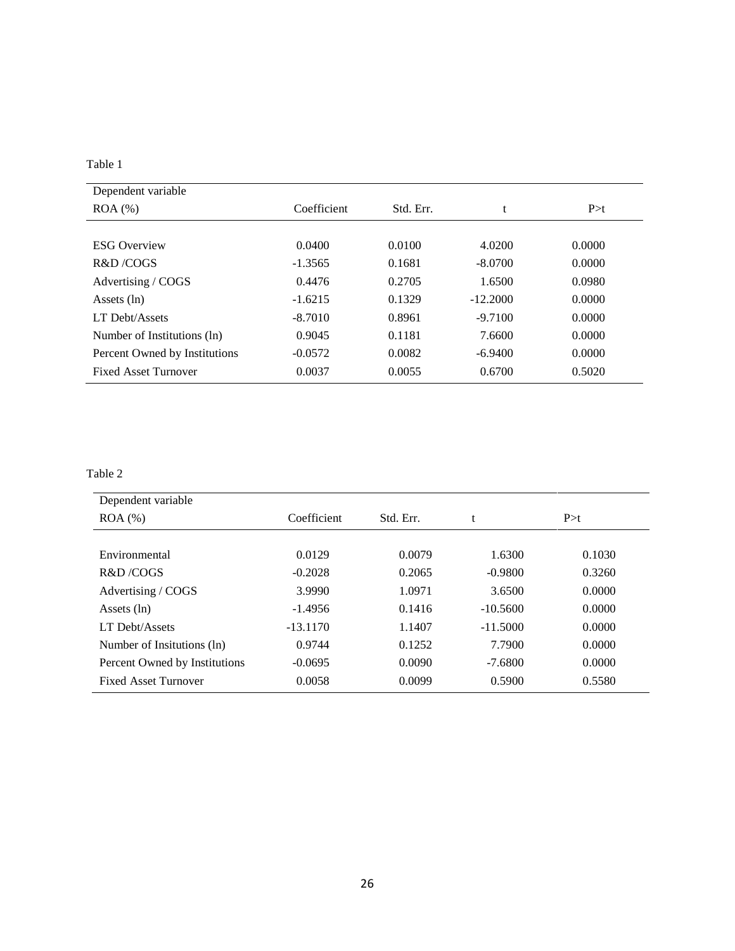| i |  |
|---|--|
|---|--|

| Dependent variable            |             |           |            |        |
|-------------------------------|-------------|-----------|------------|--------|
| $ROA (\%)$                    | Coefficient | Std. Err. |            | P > t  |
|                               |             |           |            |        |
| <b>ESG Overview</b>           | 0.0400      | 0.0100    | 4.0200     | 0.0000 |
| R&D/COGS                      | $-1.3565$   | 0.1681    | $-8.0700$  | 0.0000 |
| Advertising / COGS            | 0.4476      | 0.2705    | 1.6500     | 0.0980 |
| Assets (ln)                   | $-1.6215$   | 0.1329    | $-12.2000$ | 0.0000 |
| <b>LT Debt/Assets</b>         | $-8.7010$   | 0.8961    | $-9.7100$  | 0.0000 |
| Number of Institutions (ln)   | 0.9045      | 0.1181    | 7.6600     | 0.0000 |
| Percent Owned by Institutions | $-0.0572$   | 0.0082    | $-6.9400$  | 0.0000 |
| <b>Fixed Asset Turnover</b>   | 0.0037      | 0.0055    | 0.6700     | 0.5020 |

| Dependent variable            |             |           |            |        |
|-------------------------------|-------------|-----------|------------|--------|
| $ROA$ $%$                     | Coefficient | Std. Err. |            | P > t  |
|                               |             |           |            |        |
| Environmental                 | 0.0129      | 0.0079    | 1.6300     | 0.1030 |
| R&D/COGS                      | $-0.2028$   | 0.2065    | $-0.9800$  | 0.3260 |
| Advertising / COGS            | 3.9990      | 1.0971    | 3.6500     | 0.0000 |
| Assets $(ln)$                 | $-1.4956$   | 0.1416    | $-10.5600$ | 0.0000 |
| LT Debt/Assets                | $-13.1170$  | 1.1407    | $-11.5000$ | 0.0000 |
| Number of Insitutions (ln)    | 0.9744      | 0.1252    | 7.7900     | 0.0000 |
| Percent Owned by Institutions | $-0.0695$   | 0.0090    | $-7.6800$  | 0.0000 |
| <b>Fixed Asset Turnover</b>   | 0.0058      | 0.0099    | 0.5900     | 0.5580 |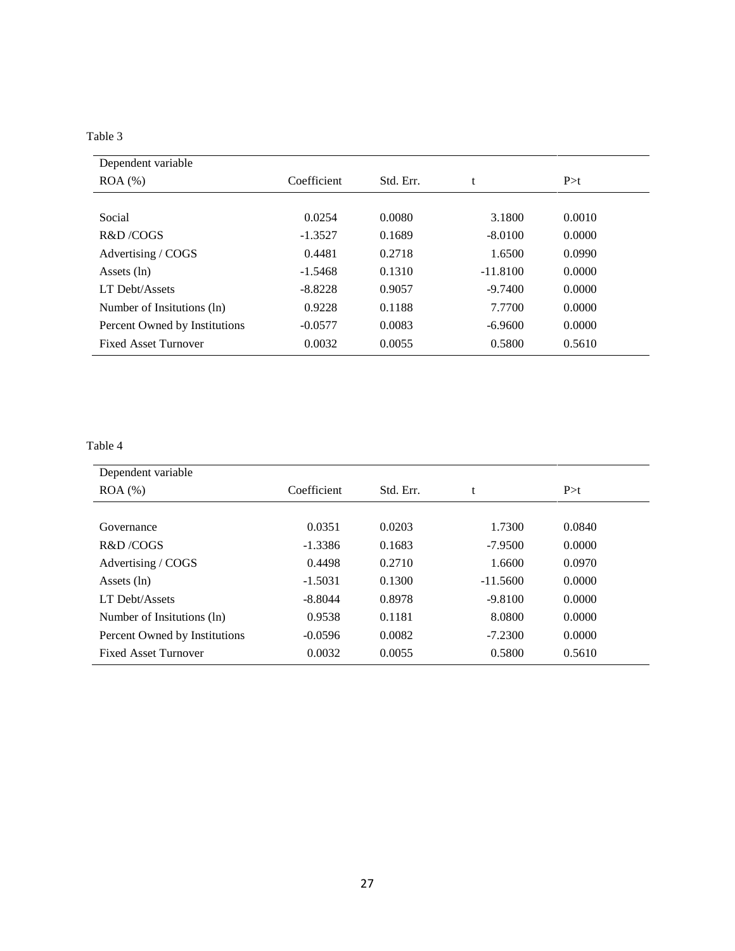| Dependent variable            |             |           |            |        |
|-------------------------------|-------------|-----------|------------|--------|
| $ROA (\%)$                    | Coefficient | Std. Err. | t          | P > t  |
|                               |             |           |            |        |
| Social                        | 0.0254      | 0.0080    | 3.1800     | 0.0010 |
| R&D/COGS                      | $-1.3527$   | 0.1689    | $-8.0100$  | 0.0000 |
| Advertising / COGS            | 0.4481      | 0.2718    | 1.6500     | 0.0990 |
| Assets $(ln)$                 | $-1.5468$   | 0.1310    | $-11.8100$ | 0.0000 |
| LT Debt/Assets                | $-8.8228$   | 0.9057    | $-9.7400$  | 0.0000 |
| Number of Insitutions (ln)    | 0.9228      | 0.1188    | 7.7700     | 0.0000 |
| Percent Owned by Institutions | $-0.0577$   | 0.0083    | $-6.9600$  | 0.0000 |
| <b>Fixed Asset Turnover</b>   | 0.0032      | 0.0055    | 0.5800     | 0.5610 |

| Dependent variable            |             |           |            |        |  |
|-------------------------------|-------------|-----------|------------|--------|--|
| $ROA (\%)$                    | Coefficient | Std. Err. | t          | P > t  |  |
|                               |             |           |            |        |  |
| Governance                    | 0.0351      | 0.0203    | 1.7300     | 0.0840 |  |
| R&D/COGS                      | $-1.3386$   | 0.1683    | $-7.9500$  | 0.0000 |  |
| Advertising / COGS            | 0.4498      | 0.2710    | 1.6600     | 0.0970 |  |
| Assets $(ln)$                 | $-1.5031$   | 0.1300    | $-11.5600$ | 0.0000 |  |
| LT Debt/Assets                | $-8.8044$   | 0.8978    | $-9.8100$  | 0.0000 |  |
| Number of Insitutions (ln)    | 0.9538      | 0.1181    | 8.0800     | 0.0000 |  |
| Percent Owned by Institutions | $-0.0596$   | 0.0082    | $-7.2300$  | 0.0000 |  |
| <b>Fixed Asset Turnover</b>   | 0.0032      | 0.0055    | 0.5800     | 0.5610 |  |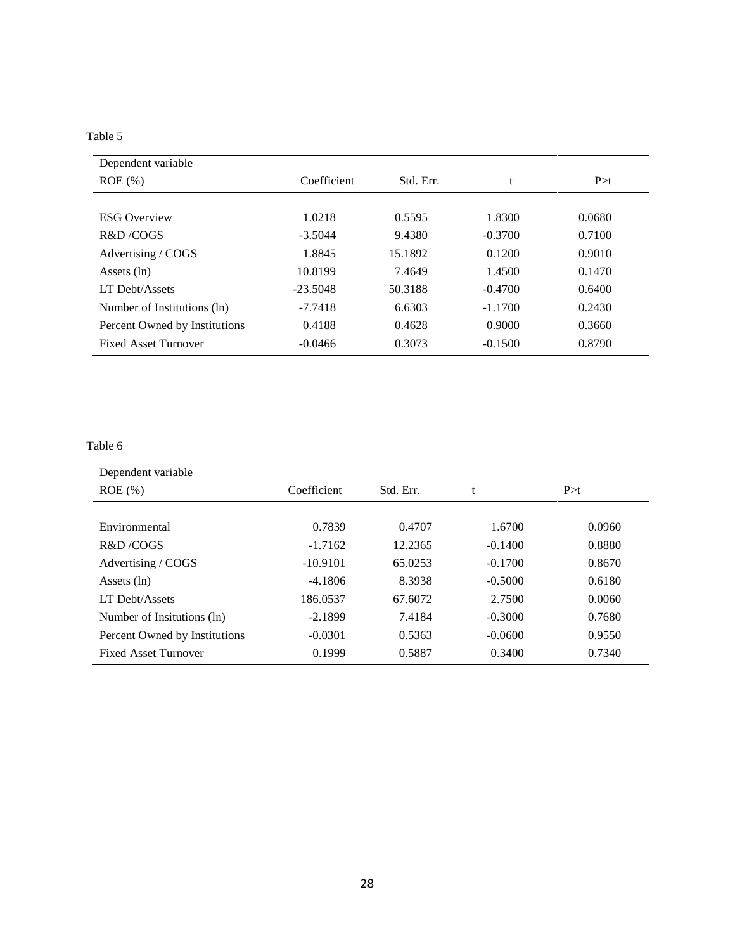| Dependent variable            |             |           |           |        |
|-------------------------------|-------------|-----------|-----------|--------|
| $ROE$ (%)                     | Coefficient | Std. Err. | t         | P > t  |
|                               |             |           |           |        |
| <b>ESG Overview</b>           | 1.0218      | 0.5595    | 1.8300    | 0.0680 |
| R&D/COGS                      | $-3.5044$   | 9.4380    | $-0.3700$ | 0.7100 |
| Advertising / COGS            | 1.8845      | 15.1892   | 0.1200    | 0.9010 |
| Assets (ln)                   | 10.8199     | 7.4649    | 1.4500    | 0.1470 |
| LT Debt/Assets                | $-23.5048$  | 50.3188   | $-0.4700$ | 0.6400 |
| Number of Institutions (ln)   | $-7.7418$   | 6.6303    | $-1.1700$ | 0.2430 |
| Percent Owned by Institutions | 0.4188      | 0.4628    | 0.9000    | 0.3660 |
| <b>Fixed Asset Turnover</b>   | $-0.0466$   | 0.3073    | $-0.1500$ | 0.8790 |

| Dependent variable            |             |           |           |        |
|-------------------------------|-------------|-----------|-----------|--------|
| $ROE$ (%)                     | Coefficient | Std. Err. | t         | P > t  |
|                               |             |           |           |        |
| Environmental                 | 0.7839      | 0.4707    | 1.6700    | 0.0960 |
| R&D/COGS                      | $-1.7162$   | 12.2365   | $-0.1400$ | 0.8880 |
| Advertising / COGS            | $-10.9101$  | 65.0253   | $-0.1700$ | 0.8670 |
| Assets $(ln)$                 | $-4.1806$   | 8.3938    | $-0.5000$ | 0.6180 |
| LT Debt/Assets                | 186.0537    | 67.6072   | 2.7500    | 0.0060 |
| Number of Insitutions (ln)    | $-2.1899$   | 7.4184    | $-0.3000$ | 0.7680 |
| Percent Owned by Institutions | $-0.0301$   | 0.5363    | $-0.0600$ | 0.9550 |
| <b>Fixed Asset Turnover</b>   | 0.1999      | 0.5887    | 0.3400    | 0.7340 |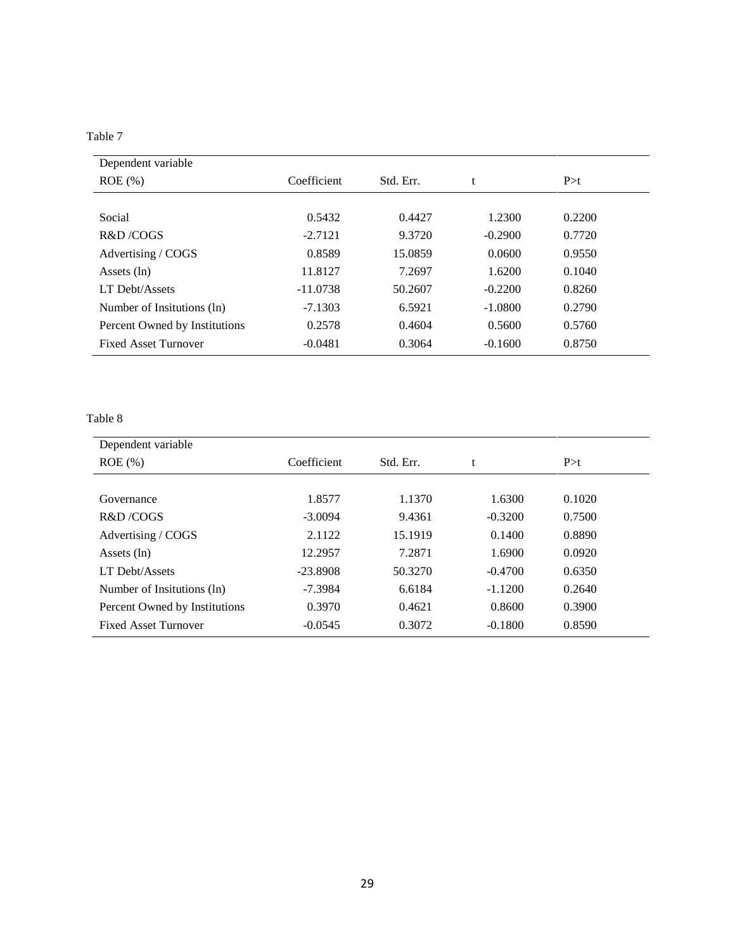| Dependent variable            |             |           |           |        |  |
|-------------------------------|-------------|-----------|-----------|--------|--|
| $ROE$ (%)                     | Coefficient | Std. Err. | t         | P > t  |  |
|                               |             |           |           |        |  |
| Social                        | 0.5432      | 0.4427    | 1.2300    | 0.2200 |  |
| R&D/COGS                      | $-2.7121$   | 9.3720    | $-0.2900$ | 0.7720 |  |
| Advertising / COGS            | 0.8589      | 15.0859   | 0.0600    | 0.9550 |  |
| Assets $(ln)$                 | 11.8127     | 7.2697    | 1.6200    | 0.1040 |  |
| LT Debt/Assets                | $-11.0738$  | 50.2607   | $-0.2200$ | 0.8260 |  |
| Number of Insitutions (ln)    | $-7.1303$   | 6.5921    | $-1.0800$ | 0.2790 |  |
| Percent Owned by Institutions | 0.2578      | 0.4604    | 0.5600    | 0.5760 |  |
| <b>Fixed Asset Turnover</b>   | $-0.0481$   | 0.3064    | $-0.1600$ | 0.8750 |  |

| Dependent variable            |             |           |           |        |
|-------------------------------|-------------|-----------|-----------|--------|
| $ROE$ (%)                     | Coefficient | Std. Err. | t         | P > t  |
|                               |             |           |           |        |
| Governance                    | 1.8577      | 1.1370    | 1.6300    | 0.1020 |
| R&D/COGS                      | $-3.0094$   | 9.4361    | $-0.3200$ | 0.7500 |
| Advertising / COGS            | 2.1122      | 15.1919   | 0.1400    | 0.8890 |
| Assets (ln)                   | 12.2957     | 7.2871    | 1.6900    | 0.0920 |
| LT Debt/Assets                | $-23.8908$  | 50.3270   | $-0.4700$ | 0.6350 |
| Number of Insitutions (ln)    | $-7.3984$   | 6.6184    | $-1.1200$ | 0.2640 |
| Percent Owned by Institutions | 0.3970      | 0.4621    | 0.8600    | 0.3900 |
| <b>Fixed Asset Turnover</b>   | $-0.0545$   | 0.3072    | $-0.1800$ | 0.8590 |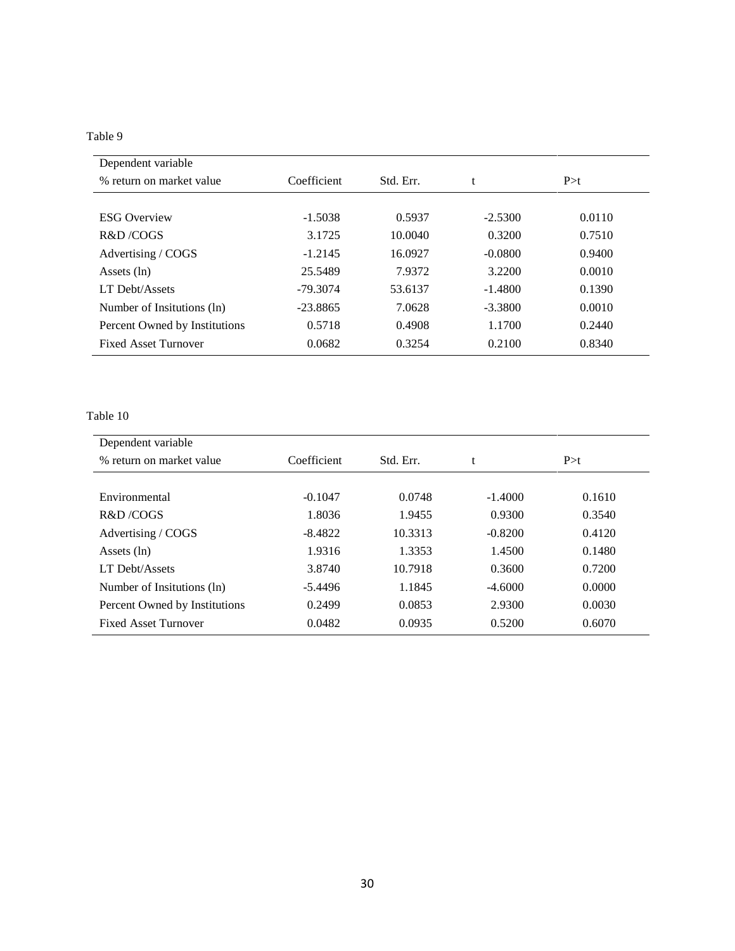| Dependent variable            |             |           |           |        |
|-------------------------------|-------------|-----------|-----------|--------|
| % return on market value      | Coefficient | Std. Err. |           | P > t  |
|                               |             |           |           |        |
| <b>ESG Overview</b>           | $-1.5038$   | 0.5937    | $-2.5300$ | 0.0110 |
| R&D/COGS                      | 3.1725      | 10.0040   | 0.3200    | 0.7510 |
| Advertising / COGS            | $-1.2145$   | 16.0927   | $-0.0800$ | 0.9400 |
| Assets $(ln)$                 | 25.5489     | 7.9372    | 3.2200    | 0.0010 |
| LT Debt/Assets                | $-79.3074$  | 53.6137   | $-1.4800$ | 0.1390 |
| Number of Insitutions (ln)    | $-23.8865$  | 7.0628    | $-3.3800$ | 0.0010 |
| Percent Owned by Institutions | 0.5718      | 0.4908    | 1.1700    | 0.2440 |
| <b>Fixed Asset Turnover</b>   | 0.0682      | 0.3254    | 0.2100    | 0.8340 |

| Dependent variable            |             |           |           |        |  |
|-------------------------------|-------------|-----------|-----------|--------|--|
| % return on market value      | Coefficient | Std. Err. |           | P > t  |  |
|                               |             |           |           |        |  |
| Environmental                 | $-0.1047$   | 0.0748    | $-1.4000$ | 0.1610 |  |
| R&D/COGS                      | 1.8036      | 1.9455    | 0.9300    | 0.3540 |  |
| Advertising / COGS            | $-8.4822$   | 10.3313   | $-0.8200$ | 0.4120 |  |
| Assets (ln)                   | 1.9316      | 1.3353    | 1.4500    | 0.1480 |  |
| <b>LT Debt/Assets</b>         | 3.8740      | 10.7918   | 0.3600    | 0.7200 |  |
| Number of Insitutions (ln)    | $-5.4496$   | 1.1845    | $-4.6000$ | 0.0000 |  |
| Percent Owned by Institutions | 0.2499      | 0.0853    | 2.9300    | 0.0030 |  |
| <b>Fixed Asset Turnover</b>   | 0.0482      | 0.0935    | 0.5200    | 0.6070 |  |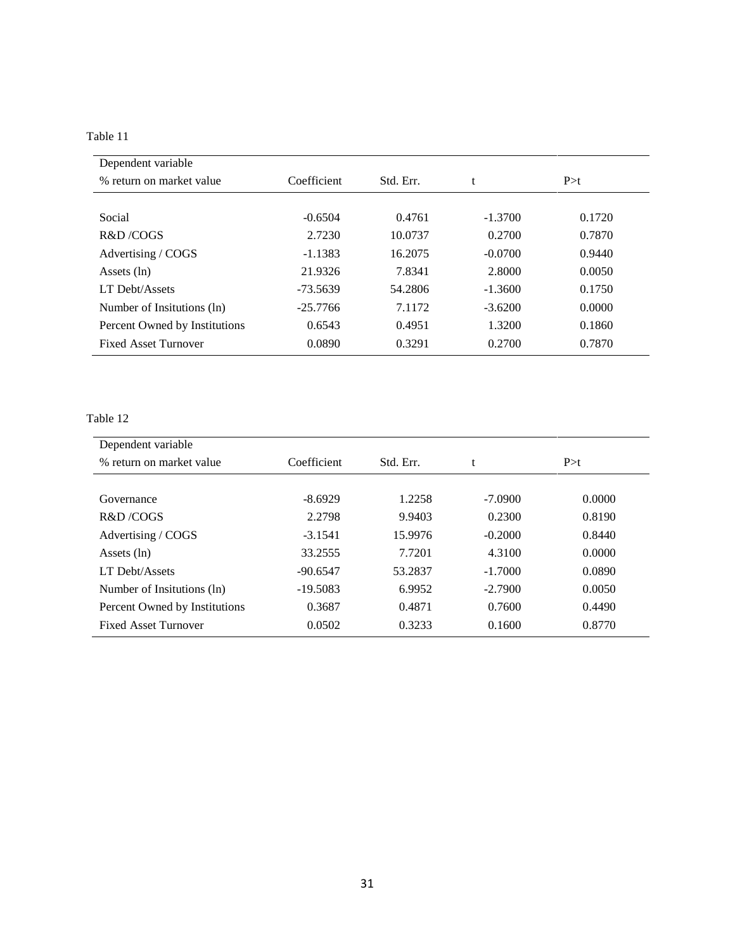| Dependent variable            |                          |         |           |        |  |
|-------------------------------|--------------------------|---------|-----------|--------|--|
| % return on market value      | Coefficient<br>Std. Err. |         |           | P > t  |  |
|                               |                          |         |           |        |  |
| Social                        | $-0.6504$                | 0.4761  | $-1.3700$ | 0.1720 |  |
| R&D/COGS                      | 2.7230                   | 10.0737 | 0.2700    | 0.7870 |  |
| Advertising / COGS            | $-1.1383$                | 16.2075 | $-0.0700$ | 0.9440 |  |
| Assets $(ln)$                 | 21.9326                  | 7.8341  | 2.8000    | 0.0050 |  |
| LT Debt/Assets                | -73.5639                 | 54.2806 | $-1.3600$ | 0.1750 |  |
| Number of Insitutions (ln)    | $-25.7766$               | 7.1172  | $-3.6200$ | 0.0000 |  |
| Percent Owned by Institutions | 0.6543                   | 0.4951  | 1.3200    | 0.1860 |  |
| <b>Fixed Asset Turnover</b>   | 0.0890                   | 0.3291  | 0.2700    | 0.7870 |  |

| Dependent variable            |             |           |           |        |  |
|-------------------------------|-------------|-----------|-----------|--------|--|
| % return on market value      | Coefficient | Std. Err. |           | P > t  |  |
|                               |             |           |           |        |  |
| Governance                    | $-8.6929$   | 1.2258    | $-7.0900$ | 0.0000 |  |
| R&D/COGS                      | 2.2798      | 9.9403    | 0.2300    | 0.8190 |  |
| Advertising / COGS            | $-3.1541$   | 15.9976   | $-0.2000$ | 0.8440 |  |
| Assets (ln)                   | 33.2555     | 7.7201    | 4.3100    | 0.0000 |  |
| LT Debt/Assets                | $-90.6547$  | 53.2837   | $-1.7000$ | 0.0890 |  |
| Number of Insitutions (ln)    | $-19.5083$  | 6.9952    | $-2.7900$ | 0.0050 |  |
| Percent Owned by Institutions | 0.3687      | 0.4871    | 0.7600    | 0.4490 |  |
| <b>Fixed Asset Turnover</b>   | 0.0502      | 0.3233    | 0.1600    | 0.8770 |  |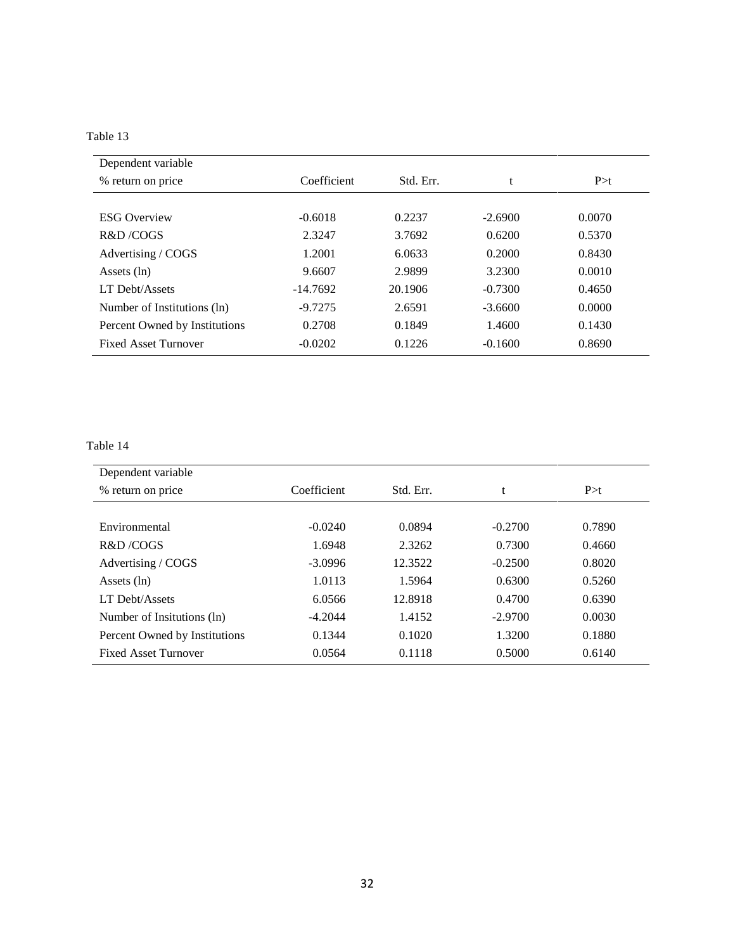| Dependent variable            |             |           |           |        |
|-------------------------------|-------------|-----------|-----------|--------|
| % return on price             | Coefficient | Std. Err. |           | P > t  |
|                               |             |           |           |        |
| <b>ESG Overview</b>           | $-0.6018$   | 0.2237    | $-2.6900$ | 0.0070 |
| R&D/COGS                      | 2.3247      | 3.7692    | 0.6200    | 0.5370 |
| Advertising / COGS            | 1.2001      | 6.0633    | 0.2000    | 0.8430 |
| Assets $(ln)$                 | 9.6607      | 2.9899    | 3.2300    | 0.0010 |
| LT Debt/Assets                | $-14.7692$  | 20.1906   | $-0.7300$ | 0.4650 |
| Number of Institutions (ln)   | $-9.7275$   | 2.6591    | $-3.6600$ | 0.0000 |
| Percent Owned by Institutions | 0.2708      | 0.1849    | 1.4600    | 0.1430 |
| <b>Fixed Asset Turnover</b>   | $-0.0202$   | 0.1226    | $-0.1600$ | 0.8690 |

| Dependent variable            |             |           |           |        |
|-------------------------------|-------------|-----------|-----------|--------|
| % return on price             | Coefficient | Std. Err. | t         | P > t  |
|                               |             |           |           |        |
| Environmental                 | $-0.0240$   | 0.0894    | $-0.2700$ | 0.7890 |
| R&D/COGS                      | 1.6948      | 2.3262    | 0.7300    | 0.4660 |
| Advertising / COGS            | $-3.0996$   | 12.3522   | $-0.2500$ | 0.8020 |
| Assets $(\ln)$                | 1.0113      | 1.5964    | 0.6300    | 0.5260 |
| LT Debt/Assets                | 6.0566      | 12.8918   | 0.4700    | 0.6390 |
| Number of Insitutions (ln)    | $-4.2044$   | 1.4152    | $-2.9700$ | 0.0030 |
| Percent Owned by Institutions | 0.1344      | 0.1020    | 1.3200    | 0.1880 |
| <b>Fixed Asset Turnover</b>   | 0.0564      | 0.1118    | 0.5000    | 0.6140 |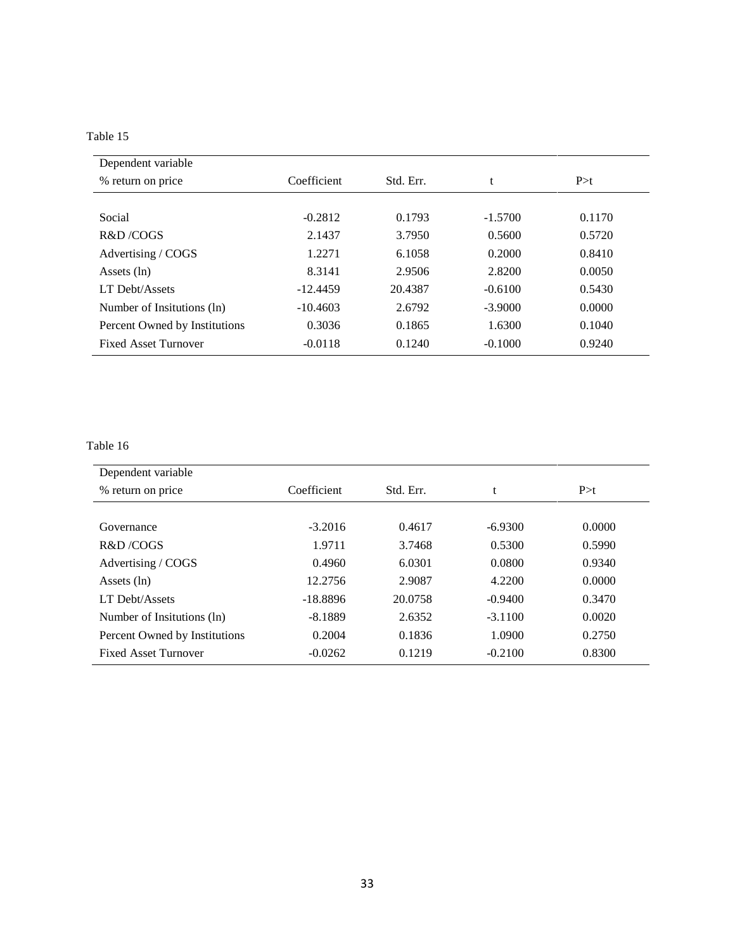| Dependent variable            |             |           |           |        |
|-------------------------------|-------------|-----------|-----------|--------|
| % return on price             | Coefficient | Std. Err. |           | P > t  |
|                               |             |           |           |        |
| Social                        | $-0.2812$   | 0.1793    | $-1.5700$ | 0.1170 |
| R&D/COGS                      | 2.1437      | 3.7950    | 0.5600    | 0.5720 |
| Advertising / COGS            | 1.2271      | 6.1058    | 0.2000    | 0.8410 |
| Assets $(ln)$                 | 8.3141      | 2.9506    | 2.8200    | 0.0050 |
| LT Debt/Assets                | $-12.4459$  | 20.4387   | $-0.6100$ | 0.5430 |
| Number of Insitutions (ln)    | $-10.4603$  | 2.6792    | $-3.9000$ | 0.0000 |
| Percent Owned by Institutions | 0.3036      | 0.1865    | 1.6300    | 0.1040 |
| <b>Fixed Asset Turnover</b>   | $-0.0118$   | 0.1240    | $-0.1000$ | 0.9240 |

| Dependent variable            |             |           |           |        |
|-------------------------------|-------------|-----------|-----------|--------|
| % return on price             | Coefficient | Std. Err. | t         | P > t  |
|                               |             |           |           |        |
| Governance                    | $-3.2016$   | 0.4617    | $-6.9300$ | 0.0000 |
| R&D/COGS                      | 1.9711      | 3.7468    | 0.5300    | 0.5990 |
| Advertising / COGS            | 0.4960      | 6.0301    | 0.0800    | 0.9340 |
| Assets $(ln)$                 | 12.2756     | 2.9087    | 4.2200    | 0.0000 |
| LT Debt/Assets                | $-18.8896$  | 20.0758   | $-0.9400$ | 0.3470 |
| Number of Insitutions (ln)    | $-8.1889$   | 2.6352    | $-3.1100$ | 0.0020 |
| Percent Owned by Institutions | 0.2004      | 0.1836    | 1.0900    | 0.2750 |
| <b>Fixed Asset Turnover</b>   | $-0.0262$   | 0.1219    | $-0.2100$ | 0.8300 |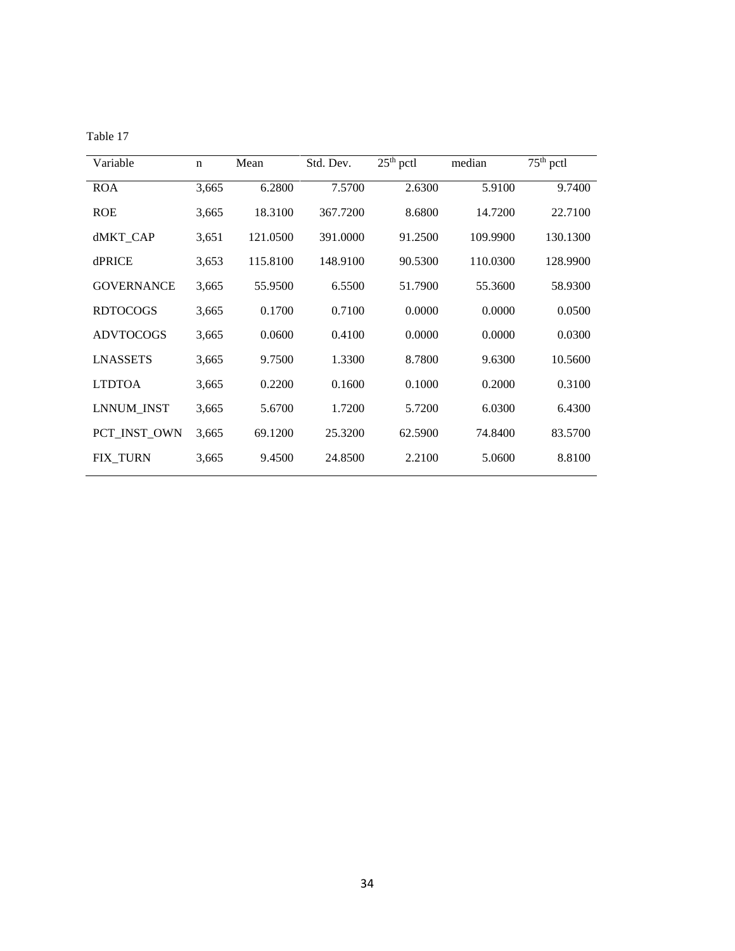| able |  |  |
|------|--|--|
|------|--|--|

| Variable          | $\mathbf n$ | Mean     | Std. Dev. | $25th$ pctl | median   | $75th$ pctl |
|-------------------|-------------|----------|-----------|-------------|----------|-------------|
| <b>ROA</b>        | 3,665       | 6.2800   | 7.5700    | 2.6300      | 5.9100   | 9.7400      |
| <b>ROE</b>        | 3,665       | 18.3100  | 367.7200  | 8.6800      | 14.7200  | 22.7100     |
| dMKT_CAP          | 3,651       | 121.0500 | 391.0000  | 91.2500     | 109.9900 | 130.1300    |
| dPRICE            | 3,653       | 115.8100 | 148.9100  | 90.5300     | 110.0300 | 128.9900    |
| <b>GOVERNANCE</b> | 3,665       | 55.9500  | 6.5500    | 51.7900     | 55.3600  | 58.9300     |
| <b>RDTOCOGS</b>   | 3,665       | 0.1700   | 0.7100    | 0.0000      | 0.0000   | 0.0500      |
| <b>ADVTOCOGS</b>  | 3,665       | 0.0600   | 0.4100    | 0.0000      | 0.0000   | 0.0300      |
| <b>LNASSETS</b>   | 3,665       | 9.7500   | 1.3300    | 8.7800      | 9.6300   | 10.5600     |
| <b>LTDTOA</b>     | 3,665       | 0.2200   | 0.1600    | 0.1000      | 0.2000   | 0.3100      |
| LNNUM_INST        | 3,665       | 5.6700   | 1.7200    | 5.7200      | 6.0300   | 6.4300      |
| PCT_INST_OWN      | 3,665       | 69.1200  | 25.3200   | 62.5900     | 74.8400  | 83.5700     |
| <b>FIX TURN</b>   | 3,665       | 9.4500   | 24.8500   | 2.2100      | 5.0600   | 8.8100      |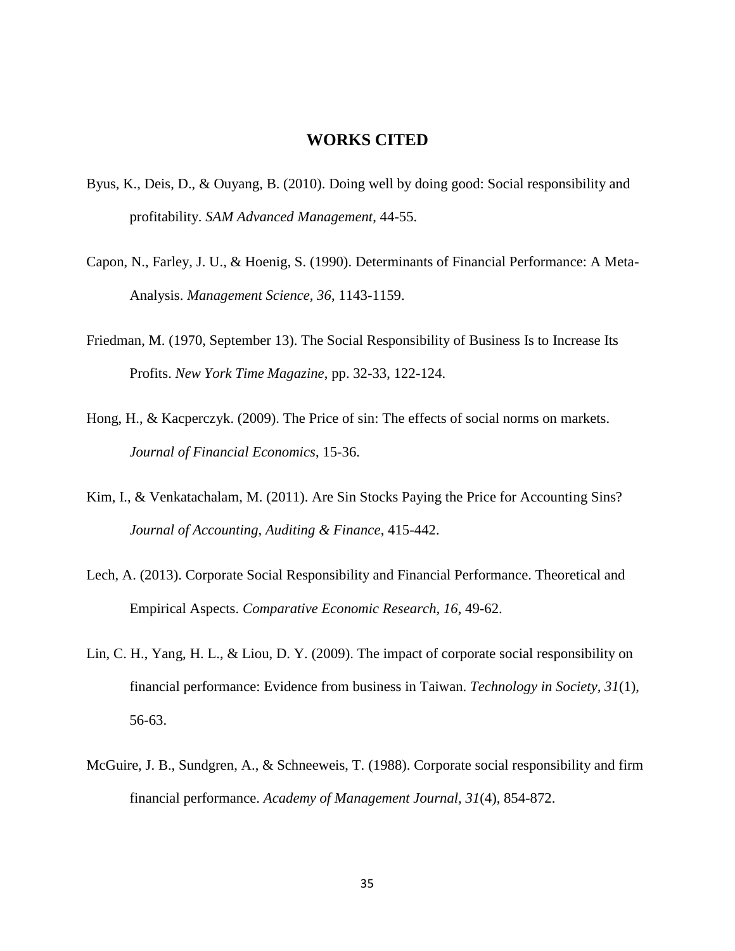#### <span id="page-41-0"></span>**WORKS CITED**

- Byus, K., Deis, D., & Ouyang, B. (2010). Doing well by doing good: Social responsibility and profitability. *SAM Advanced Management*, 44-55.
- Capon, N., Farley, J. U., & Hoenig, S. (1990). Determinants of Financial Performance: A Meta-Analysis. *Management Science, 36*, 1143-1159.
- Friedman, M. (1970, September 13). The Social Responsibility of Business Is to Increase Its Profits. *New York Time Magazine*, pp. 32-33, 122-124.
- Hong, H., & Kacperczyk. (2009). The Price of sin: The effects of social norms on markets. *Journal of Financial Economics*, 15-36.
- Kim, I., & Venkatachalam, M. (2011). Are Sin Stocks Paying the Price for Accounting Sins? *Journal of Accounting, Auditing & Finance*, 415-442.
- Lech, A. (2013). Corporate Social Responsibility and Financial Performance. Theoretical and Empirical Aspects. *Comparative Economic Research, 16*, 49-62.
- Lin, C. H., Yang, H. L., & Liou, D. Y. (2009). The impact of corporate social responsibility on financial performance: Evidence from business in Taiwan. *Technology in Society, 31*(1), 56-63.
- McGuire, J. B., Sundgren, A., & Schneeweis, T. (1988). Corporate social responsibility and firm financial performance. *Academy of Management Journal, 31*(4), 854-872.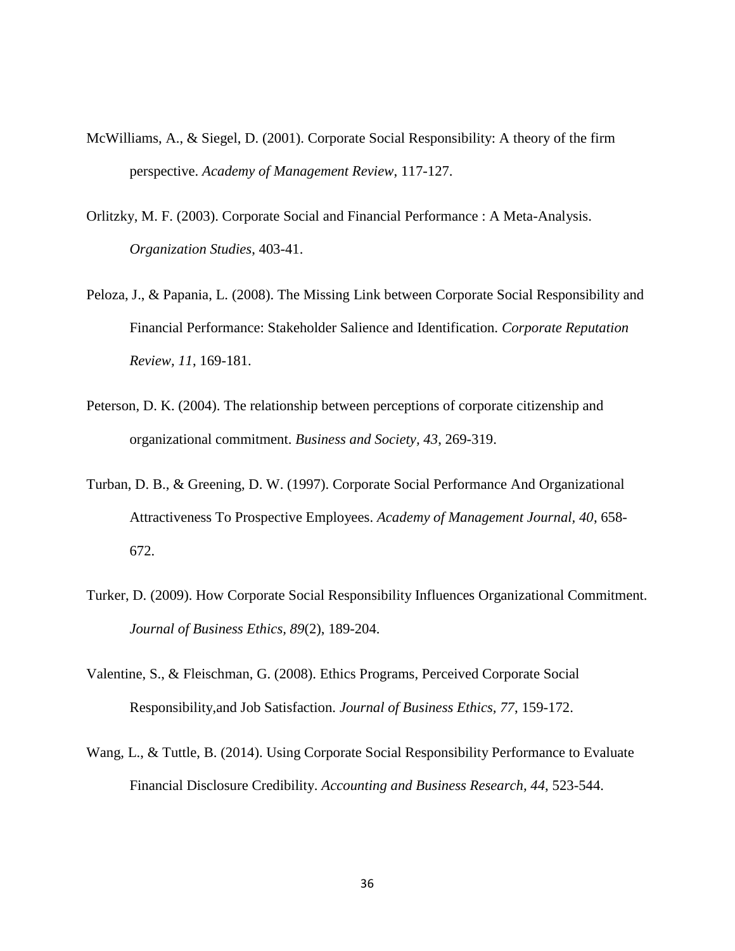- McWilliams, A., & Siegel, D. (2001). Corporate Social Responsibility: A theory of the firm perspective. *Academy of Management Review*, 117-127.
- Orlitzky, M. F. (2003). Corporate Social and Financial Performance : A Meta-Analysis. *Organization Studies*, 403-41.
- Peloza, J., & Papania, L. (2008). The Missing Link between Corporate Social Responsibility and Financial Performance: Stakeholder Salience and Identification. *Corporate Reputation Review, 11*, 169-181.
- Peterson, D. K. (2004). The relationship between perceptions of corporate citizenship and organizational commitment. *Business and Society, 43*, 269-319.
- Turban, D. B., & Greening, D. W. (1997). Corporate Social Performance And Organizational Attractiveness To Prospective Employees. *Academy of Management Journal, 40*, 658- 672.
- Turker, D. (2009). How Corporate Social Responsibility Influences Organizational Commitment. *Journal of Business Ethics, 89*(2), 189-204.
- Valentine, S., & Fleischman, G. (2008). Ethics Programs, Perceived Corporate Social Responsibility,and Job Satisfaction. *Journal of Business Ethics, 77*, 159-172.
- Wang, L., & Tuttle, B. (2014). Using Corporate Social Responsibility Performance to Evaluate Financial Disclosure Credibility. *Accounting and Business Research, 44*, 523-544.